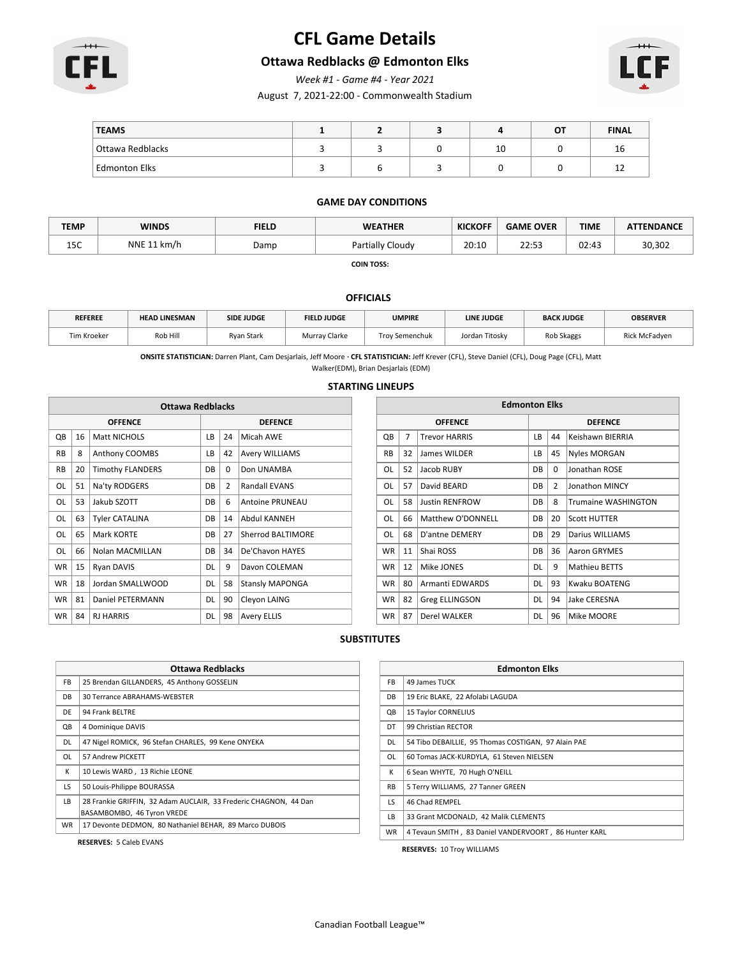

# **CFL Game Details**

### **Ottawa Redblacks @ Edmonton Elks**

*Week #1 - Game #4 - Year 2021*

August 7, 2021-22:00 - Commonwealth Stadium



| <b>TEAMS</b>         |  |    | OT | <b>FINAL</b> |
|----------------------|--|----|----|--------------|
| Ottawa Redblacks     |  | 10 |    | Τp           |
| <b>Edmonton Elks</b> |  |    |    | ᅩ            |

#### **GAME DAY CONDITIONS**

| <b>TEMP</b>                     | <b>WINDS</b> | <b>FIELD</b> | <b>WEATHER</b>        | <b>KICKOFF</b> | <b>OVER</b><br><b>GAME</b> | <b>TIME</b> | <b>ATTENDANCE</b> |
|---------------------------------|--------------|--------------|-----------------------|----------------|----------------------------|-------------|-------------------|
| $\overline{\phantom{a}}$<br>⊥ال | NNE 11 km/h  | Damp         | Partially C<br>Cloudy | 20:10          | 22:53                      | 02:43       | 30,302            |

**COIN TOSS:** 

#### **OFFICIALS**

| <b>REFEREE</b> | <b>HEAD LINESMAN</b> | <b>SIDE JUDGE</b> | <b>FIELD JUDGE</b> | <b>UMPIRE</b>         | LINE JUDGE     | <b>BACK JUDGE</b> | <b>OBSERVER</b>      |
|----------------|----------------------|-------------------|--------------------|-----------------------|----------------|-------------------|----------------------|
| Tim Kroeker    | Rob Hill             | <b>Rvan Stark</b> | Murray Clarke      | <b>Trov Semenchuk</b> | Jordan Titosky | Rob Skaggs        | <b>Rick McFadven</b> |

**ONSITE STATISTICIAN:** Darren Plant, Cam Desjarlais, Jeff Moore **· CFL STATISTICIAN:** Jeff Krever (CFL), Steve Daniel (CFL), Doug Page (CFL), Matt

Walker(EDM), Brian Desjarlais (EDM)

#### **STARTING LINEUPS**

| <b>Ottawa Redblacks</b> |    |                         |           |                |                        |           |                | <b>Edmonton Elks</b>   |           |                |
|-------------------------|----|-------------------------|-----------|----------------|------------------------|-----------|----------------|------------------------|-----------|----------------|
|                         |    | <b>OFFENCE</b>          |           |                | <b>DEFENCE</b>         |           |                | <b>OFFENCE</b>         |           |                |
| QB                      | 16 | <b>Matt NICHOLS</b>     | LB        | 24             | Micah AWE              | QB        | $\overline{7}$ | <b>Trevor HARRIS</b>   | LB        | 44             |
| <b>RB</b>               | 8  | Anthony COOMBS          | LB        | 42             | <b>Avery WILLIAMS</b>  | <b>RB</b> | 32             | James WILDER           | LB        | 45             |
| <b>RB</b>               | 20 | <b>Timothy FLANDERS</b> | DB        | 0              | Don UNAMBA             | OL        | 52             | Jacob RUBY             | <b>DB</b> | $\Omega$       |
| OL                      | 51 | Na'ty RODGERS           | DB        | $\overline{2}$ | Randall EVANS          | OL        | 57             | David BEARD            | <b>DB</b> | $\overline{2}$ |
| OL                      | 53 | Jakub SZOTT             | DB        | 6              | Antoine PRUNEAU        | <b>OL</b> | 58             | <b>Justin RENFROW</b>  | DB        | 8              |
| <b>OL</b>               | 63 | <b>Tyler CATALINA</b>   | DB        | 14             | Abdul KANNEH           | OL        | 66             | Matthew O'DONNELL      | <b>DB</b> | 20             |
| OL                      | 65 | Mark KORTE              | DB        | 27             | Sherrod BALTIMORE      | OL        | 68             | D'antne DEMERY         | <b>DB</b> | 29             |
| OL                      | 66 | Nolan MACMILLAN         | DB        | 34             | De'Chavon HAYES        | <b>WR</b> | 11             | Shai ROSS              | <b>DB</b> | 36             |
| <b>WR</b>               | 15 | Ryan DAVIS              | <b>DL</b> | 9              | Davon COLEMAN          | <b>WR</b> | 12             | Mike JONES             | <b>DL</b> | 9              |
| <b>WR</b>               | 18 | Jordan SMALLWOOD        | DL        | 58             | <b>Stansly MAPONGA</b> | <b>WR</b> | 80             | <b>Armanti EDWARDS</b> | <b>DL</b> | 93             |
| <b>WR</b>               | 81 | <b>Daniel PETERMANN</b> | <b>DL</b> | 90             | Cleyon LAING           | <b>WR</b> | 82             | Greg ELLINGSON         | <b>DL</b> | 94             |
| <b>WR</b>               | 84 | <b>RJ HARRIS</b>        | DL        | 98             | <b>Avery ELLIS</b>     | <b>WR</b> | 87             | Derel WALKER           | <b>DL</b> | 96             |

| <b>Edmonton Elks</b> |    |                       |                                        |    |                            |  |  |  |  |
|----------------------|----|-----------------------|----------------------------------------|----|----------------------------|--|--|--|--|
|                      |    | <b>OFFENCE</b>        | <b>DEFENCE</b>                         |    |                            |  |  |  |  |
| QB                   | 7  | <b>Trevor HARRIS</b>  | LВ                                     | 44 | Keishawn BIERRIA           |  |  |  |  |
| <b>RB</b>            | 32 | James WILDER          | LВ                                     | 45 | <b>Nyles MORGAN</b>        |  |  |  |  |
| OL                   | 52 | Jacob RUBY            | DB                                     | 0  | Jonathan ROSE              |  |  |  |  |
| OL                   | 57 | David BEARD           | $\overline{2}$<br>Jonathon MINCY<br>DB |    |                            |  |  |  |  |
| OL                   | 58 | <b>Justin RENFROW</b> | DB                                     | 8  | <b>Trumaine WASHINGTON</b> |  |  |  |  |
| OL                   | 66 | Matthew O'DONNELL     | DB                                     | 20 | <b>Scott HUTTER</b>        |  |  |  |  |
| OL                   | 68 | D'antne DEMERY        | DB                                     | 29 | Darius WILLIAMS            |  |  |  |  |
| <b>WR</b>            | 11 | Shai ROSS             | DB                                     | 36 | Aaron GRYMES               |  |  |  |  |
| <b>WR</b>            | 12 | Mike JONES            | DL                                     | 9  | <b>Mathieu BETTS</b>       |  |  |  |  |
| <b>WR</b>            | 80 | Armanti EDWARDS       | DL                                     | 93 | Kwaku BOATENG              |  |  |  |  |
| <b>WR</b>            | 82 | Greg ELLINGSON        | DL                                     | 94 | Jake CERESNA               |  |  |  |  |
| <b>WR</b>            | 87 | Derel WALKER          | DL                                     | 96 | Mike MOORE                 |  |  |  |  |

#### **SUBSTITUTES**

|           | <b>Ottawa Redblacks</b>                                          |  |  |  |  |  |  |  |
|-----------|------------------------------------------------------------------|--|--|--|--|--|--|--|
|           |                                                                  |  |  |  |  |  |  |  |
| FB        | 25 Brendan GILLANDERS, 45 Anthony GOSSELIN                       |  |  |  |  |  |  |  |
| DB.       | 30 Terrance ABRAHAMS-WEBSTER                                     |  |  |  |  |  |  |  |
| DF        | 94 Frank BELTRE                                                  |  |  |  |  |  |  |  |
| QB        | 4 Dominique DAVIS                                                |  |  |  |  |  |  |  |
| DL        | 47 Nigel ROMICK, 96 Stefan CHARLES, 99 Kene ONYEKA               |  |  |  |  |  |  |  |
| OL        | 57 Andrew PICKETT                                                |  |  |  |  |  |  |  |
| К         | 10 Lewis WARD, 13 Richie LEONE                                   |  |  |  |  |  |  |  |
| LS.       | 50 Louis-Philippe BOURASSA                                       |  |  |  |  |  |  |  |
| LB        | 28 Frankie GRIFFIN. 32 Adam AUCLAIR. 33 Frederic CHAGNON. 44 Dan |  |  |  |  |  |  |  |
|           | BASAMBOMBO, 46 Tyron VREDE                                       |  |  |  |  |  |  |  |
| <b>WR</b> | 17 Devonte DEDMON, 80 Nathaniel BEHAR, 89 Marco DUBOIS           |  |  |  |  |  |  |  |

**RESERVES:** 5 Caleb EVANS

|           | <b>Edmonton Elks</b>                                  |  |  |  |  |  |  |  |
|-----------|-------------------------------------------------------|--|--|--|--|--|--|--|
| FB.       | 49 James TUCK                                         |  |  |  |  |  |  |  |
| DB        | 19 Eric BLAKE, 22 Afolabi LAGUDA                      |  |  |  |  |  |  |  |
| QB        | 15 Taylor CORNELIUS                                   |  |  |  |  |  |  |  |
| DT        | 99 Christian RECTOR                                   |  |  |  |  |  |  |  |
| DL.       | 54 Tibo DEBAILLIE, 95 Thomas COSTIGAN, 97 Alain PAE   |  |  |  |  |  |  |  |
| OL        | 60 Tomas JACK-KURDYLA, 61 Steven NIELSEN              |  |  |  |  |  |  |  |
| К         | 6 Sean WHYTE, 70 Hugh O'NEILL                         |  |  |  |  |  |  |  |
| <b>RB</b> | 5 Terry WILLIAMS, 27 Tanner GREEN                     |  |  |  |  |  |  |  |
| LS.       | 46 Chad REMPEL                                        |  |  |  |  |  |  |  |
| LB        | 33 Grant MCDONALD, 42 Malik CLEMENTS                  |  |  |  |  |  |  |  |
| <b>WR</b> | 4 Tevaun SMITH, 83 Daniel VANDERVOORT, 86 Hunter KARL |  |  |  |  |  |  |  |

**RESERVES:** 10 Troy WILLIAMS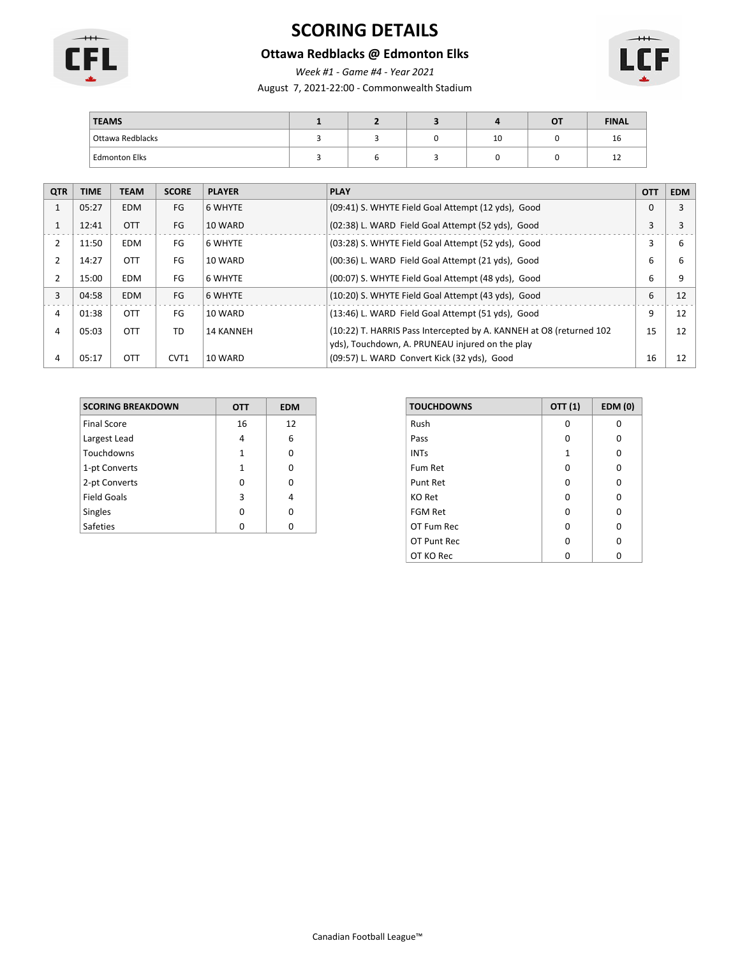

# **SCORING DETAILS**

### **Ottawa Redblacks @ Edmonton Elks**

*Week #1 - Game #4 - Year 2021*

August 7, 2021-22:00 - Commonwealth Stadium



| <b>TEAMS</b>         |  |    | O٦ | <b>FINAL</b> |
|----------------------|--|----|----|--------------|
| Ottawa Redblacks     |  | 10 |    | ᅩ            |
| <b>Edmonton Elks</b> |  |    |    | ᅩ            |

| <b>QTR</b>   | <b>TIME</b> | <b>TEAM</b> | <b>SCORE</b> | <b>PLAYER</b>    | <b>PLAY</b>                                                          | <b>OTT</b> | <b>EDM</b> |
|--------------|-------------|-------------|--------------|------------------|----------------------------------------------------------------------|------------|------------|
| $\mathbf{1}$ | 05:27       | <b>EDM</b>  | FG           | 6 WHYTE          | (09:41) S. WHYTE Field Goal Attempt (12 yds), Good                   | $\Omega$   | 3          |
| 1            | 12:41       | <b>OTT</b>  | FG           | 10 WARD          | (02:38) L. WARD Field Goal Attempt (52 yds), Good                    | 3          |            |
| 2            | 11:50       | <b>EDM</b>  | FG           | 6 WHYTE          | (03:28) S. WHYTE Field Goal Attempt (52 yds), Good                   | 3          | 6          |
|              | 14:27       | <b>OTT</b>  | FG           | 10 WARD          | (00:36) L. WARD Field Goal Attempt (21 yds), Good                    | 6          | 6          |
| 2            | 15:00       | <b>EDM</b>  | FG           | 6 WHYTE          | (00:07) S. WHYTE Field Goal Attempt (48 yds), Good                   | 6          | 9          |
| 3            | 04:58       | <b>EDM</b>  | FG           | 6 WHYTE          | (10:20) S. WHYTE Field Goal Attempt (43 yds), Good                   | 6          | 12         |
| 4            | 01:38       | <b>OTT</b>  | FG           | 10 WARD          | (13:46) L. WARD Field Goal Attempt (51 yds), Good                    | 9          | 12         |
| 4            | 05:03       | <b>OTT</b>  | TD           | <b>14 KANNEH</b> | (10:22) T. HARRIS Pass Intercepted by A. KANNEH at O8 (returned 102) | 15         | 12         |
|              |             |             |              |                  | yds), Touchdown, A. PRUNEAU injured on the play                      |            |            |
| 4            | 05:17       | <b>OTT</b>  | CVT1         | 10 WARD          | (09:57) L. WARD Convert Kick (32 yds), Good                          | 16         | 12         |

| <b>SCORING BREAKDOWN</b> | ОТТ | <b>EDM</b> |
|--------------------------|-----|------------|
| <b>Final Score</b>       | 16  | 12         |
| Largest Lead             | 4   | 6          |
| Touchdowns               | 1   | 0          |
| 1-pt Converts            | 1   | 0          |
| 2-pt Converts            | O   | ŋ          |
| <b>Field Goals</b>       | 3   | 4          |
| <b>Singles</b>           | ŋ   | ი          |
| <b>Safeties</b>          |     |            |

| <b>TOUCHDOWNS</b> | OTT (1) | <b>EDM (0)</b> |
|-------------------|---------|----------------|
| Rush              | O       | 0              |
| Pass              | O       | 0              |
| <b>INTs</b>       | 1       | 0              |
| Fum Ret           | O       | 0              |
| <b>Punt Ret</b>   | O       | 0              |
| <b>KO Ret</b>     | O       | 0              |
| <b>FGM Ret</b>    | O       | O              |
| OT Fum Rec        | O       | 0              |
| OT Punt Rec       | O       | O              |
| OT KO Rec         | n       | ი              |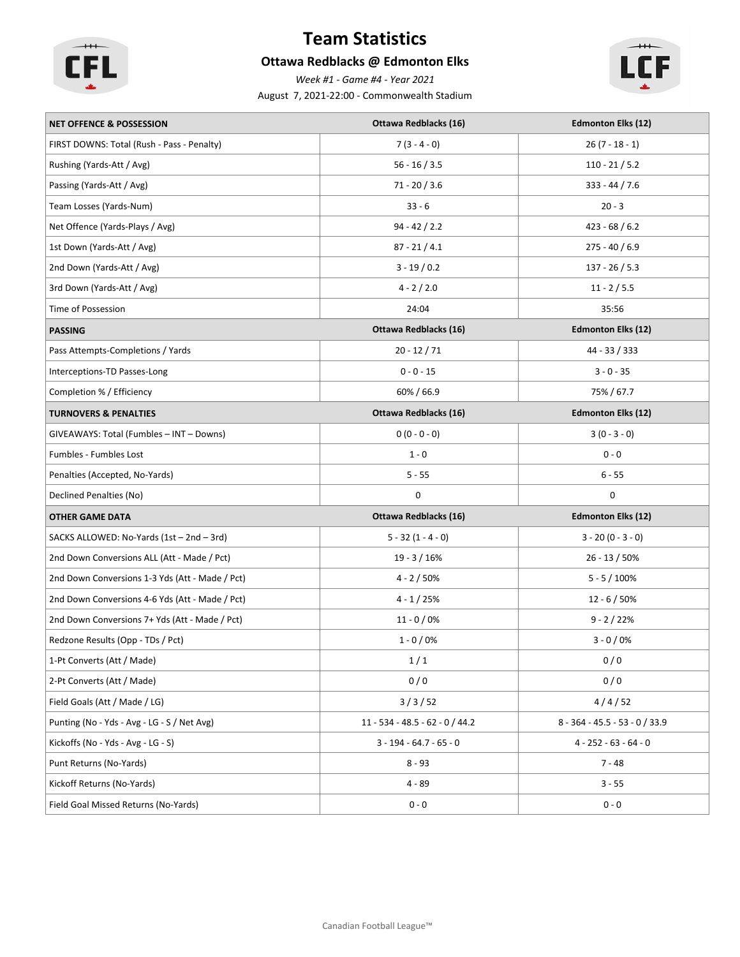

# **Team Statistics**

### **Ottawa Redblacks @ Edmonton Elks**

*Week #1 - Game #4 - Year 2021*

August 7, 2021-22:00 - Commonwealth Stadium



| <b>NET OFFENCE &amp; POSSESSION</b>             | Ottawa Redblacks (16)           | <b>Edmonton Elks (12)</b>        |
|-------------------------------------------------|---------------------------------|----------------------------------|
| FIRST DOWNS: Total (Rush - Pass - Penalty)      | $7(3 - 4 - 0)$                  | $26(7 - 18 - 1)$                 |
| Rushing (Yards-Att / Avg)                       | $56 - 16 / 3.5$                 | $110 - 21 / 5.2$                 |
| Passing (Yards-Att / Avg)                       | $71 - 20 / 3.6$                 | $333 - 44 / 7.6$                 |
| Team Losses (Yards-Num)                         | $33 - 6$                        | $20 - 3$                         |
| Net Offence (Yards-Plays / Avg)                 | $94 - 42 / 2.2$                 | $423 - 68 / 6.2$                 |
| 1st Down (Yards-Att / Avg)                      | $87 - 21 / 4.1$                 | $275 - 40 / 6.9$                 |
| 2nd Down (Yards-Att / Avg)                      | $3 - 19 / 0.2$                  | $137 - 26 / 5.3$                 |
| 3rd Down (Yards-Att / Avg)                      | $4 - 2 / 2.0$                   | $11 - 2 / 5.5$                   |
| Time of Possession                              | 24:04                           | 35:56                            |
| <b>PASSING</b>                                  | <b>Ottawa Redblacks (16)</b>    | <b>Edmonton Elks (12)</b>        |
| Pass Attempts-Completions / Yards               | $20 - 12 / 71$                  | 44 - 33 / 333                    |
| Interceptions-TD Passes-Long                    | $0 - 0 - 15$                    | $3 - 0 - 35$                     |
| Completion % / Efficiency                       | 60% / 66.9                      | 75% / 67.7                       |
| <b>TURNOVERS &amp; PENALTIES</b>                | Ottawa Redblacks (16)           | <b>Edmonton Elks (12)</b>        |
| GIVEAWAYS: Total (Fumbles - INT - Downs)        | $0(0 - 0 - 0)$                  | $3(0 - 3 - 0)$                   |
| <b>Fumbles - Fumbles Lost</b>                   | $1 - 0$                         | $0 - 0$                          |
| Penalties (Accepted, No-Yards)                  | $5 - 55$                        | $6 - 55$                         |
| Declined Penalties (No)                         | 0                               | 0                                |
| <b>OTHER GAME DATA</b>                          | <b>Ottawa Redblacks (16)</b>    | <b>Edmonton Elks (12)</b>        |
| SACKS ALLOWED: No-Yards (1st - 2nd - 3rd)       | $5 - 32(1 - 4 - 0)$             | $3 - 20 (0 - 3 - 0)$             |
| 2nd Down Conversions ALL (Att - Made / Pct)     | $19 - 3 / 16%$                  | $26 - 13 / 50%$                  |
| 2nd Down Conversions 1-3 Yds (Att - Made / Pct) | $4 - 2 / 50%$                   | $5 - 5 / 100\%$                  |
| 2nd Down Conversions 4-6 Yds (Att - Made / Pct) | $4 - 1 / 25%$                   | $12 - 6 / 50%$                   |
| 2nd Down Conversions 7+ Yds (Att - Made / Pct)  | $11 - 0 / 0\%$                  | $9 - 2 / 22%$                    |
| Redzone Results (Opp - TDs / Pct)               | $1 - 0/0%$                      | $3 - 0 / 0$ %                    |
| 1-Pt Converts (Att / Made)                      | 1/1                             | 0/0                              |
| 2-Pt Converts (Att / Made)                      | 0/0                             | 0/0                              |
| Field Goals (Att / Made / LG)                   | 3/3/52                          | 4/4/52                           |
| Punting (No - Yds - Avg - LG - S / Net Avg)     | 11 - 534 - 48.5 - 62 - 0 / 44.2 | $8 - 364 - 45.5 - 53 - 0 / 33.9$ |
| Kickoffs (No - Yds - Avg - LG - S)              | $3 - 194 - 64.7 - 65 - 0$       | $4 - 252 - 63 - 64 - 0$          |
| Punt Returns (No-Yards)                         | $8 - 93$                        | $7 - 48$                         |
| Kickoff Returns (No-Yards)                      | $4 - 89$                        | $3 - 55$                         |
| Field Goal Missed Returns (No-Yards)            | $0 - 0$                         | $0 - 0$                          |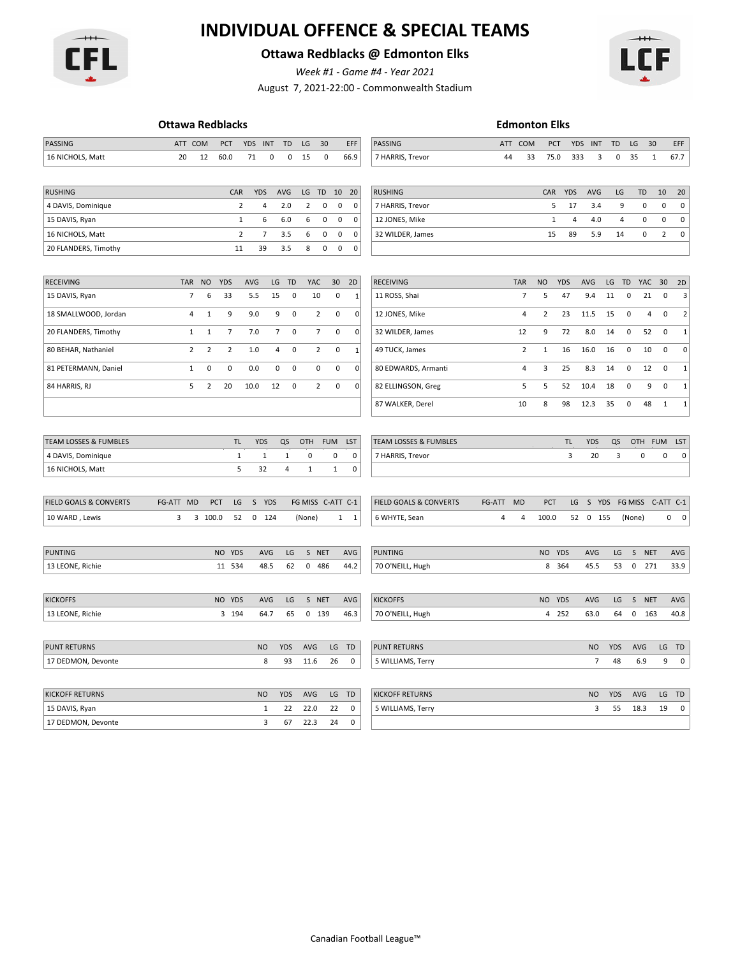

# **INDIVIDUAL OFFENCE & SPECIAL TEAMS**

### **Ottawa Redblacks @ Edmonton Elks**

*Week #1 - Game #4 - Year 2021*

August 7, 2021-22:00 - Commonwealth Stadium



|                                   | <b>Ottawa Redblacks</b> |                |                |            |                |                |                |                |                   |              |                                   |            |                | <b>Edmonton Elks</b> |                |                |            |                |             |                |                |
|-----------------------------------|-------------------------|----------------|----------------|------------|----------------|----------------|----------------|----------------|-------------------|--------------|-----------------------------------|------------|----------------|----------------------|----------------|----------------|------------|----------------|-------------|----------------|----------------|
| PASSING                           | ATT COM                 |                | PCT            | <b>YDS</b> | INT            | TD             | LG             | 30             |                   | EFF          | <b>PASSING</b>                    | <b>ATT</b> | COM            | PCT                  | <b>YDS</b>     | INT            | <b>TD</b>  | LG             | 30          |                | EFF            |
| 16 NICHOLS, Matt                  | 20                      | 12             | 60.0           | 71         | 0              | $\pmb{0}$      | 15             | $\mathbf 0$    |                   | 66.9         | 7 HARRIS, Trevor                  | 44         | 33             | 75.0                 | 333            |                | 3<br>0     | 35             |             | 1              | 67.7           |
|                                   |                         |                |                |            |                |                |                |                |                   |              |                                   |            |                |                      |                |                |            |                |             |                |                |
| <b>RUSHING</b>                    |                         |                | CAR            | <b>YDS</b> |                | AVG            | LG             | TD             | 10                | 20           | <b>RUSHING</b>                    |            |                | CAR                  | <b>YDS</b>     | AVG            | LG         |                | <b>TD</b>   | 10             | 20             |
| 4 DAVIS, Dominique                |                         |                | $\overline{2}$ |            | 4              | 2.0            | $\overline{2}$ | $\pmb{0}$      | $\pmb{0}$         | 0            | 7 HARRIS, Trevor                  |            |                | 5                    | 17             | 3.4            |            | 9              | $\mathbf 0$ | $\mathbf 0$    | $\mathbf 0$    |
| 15 DAVIS, Ryan                    |                         |                | $\mathbf 1$    |            | 6              | 6.0            | 6              | 0              | 0                 | $\pmb{0}$    | 12 JONES, Mike                    |            |                | $\mathbf{1}$         | $\overline{4}$ | 4.0            |            | $\overline{4}$ | $\mathbf 0$ | $\mathbf 0$    | 0              |
| 16 NICHOLS, Matt                  |                         |                | $\overline{2}$ |            | $\overline{7}$ | 3.5            | 6              | $\pmb{0}$      | 0                 | $\pmb{0}$    | 32 WILDER, James                  |            |                | 15                   | 89             | 5.9            | 14         |                | $\mathbf 0$ | $\overline{2}$ | 0              |
| 20 FLANDERS, Timothy              |                         |                | 11             | 39         |                | 3.5            | 8              | $\pmb{0}$      | $\pmb{0}$         | $\pmb{0}$    |                                   |            |                |                      |                |                |            |                |             |                |                |
|                                   |                         |                |                |            |                |                |                |                |                   |              |                                   |            |                |                      |                |                |            |                |             |                |                |
| <b>RECEIVING</b>                  | TAR                     | <b>NO</b>      | <b>YDS</b>     | AVG        |                | LG TD          | YAC            |                | 30 <sup>°</sup>   | 2D           | <b>RECEIVING</b>                  |            | <b>TAR</b>     | <b>NO</b>            | <b>YDS</b>     | AVG            | LG         | TD             | YAC 30      |                | 2D             |
| 15 DAVIS, Ryan                    | $\overline{7}$          | 6              | 33             | 5.5        | 15             | 0              |                | 10             | 0                 | 1            | 11 ROSS, Shai                     |            | 7              | 5                    | 47             | 9.4            | 11         | 0              | 21          | 0              | 3              |
| 18 SMALLWOOD, Jordan              | $\sqrt{4}$              | $\mathbf{1}$   | 9              | 9.0        | 9              | $\pmb{0}$      |                | $\overline{2}$ | 0                 | $\pmb{0}$    | 12 JONES, Mike                    |            | 4              | $\overline{2}$       | 23             | 11.5           | 15         | $\pmb{0}$      | 4           | $\mathbf 0$    | $\overline{2}$ |
| 20 FLANDERS, Timothy              | $\mathbf{1}$            | $\mathbf{1}$   | $\overline{7}$ | 7.0        | $\overline{7}$ | $\pmb{0}$      |                | $\overline{7}$ | 0                 | $\pmb{0}$    | 32 WILDER, James                  |            | 12             | 9                    | 72             | 8.0            | 14         | $\pmb{0}$      | 52          | $\pmb{0}$      | $\mathbf 1$    |
| 80 BEHAR, Nathaniel               | $\overline{2}$          | $\overline{2}$ | $\overline{2}$ | 1.0        | 4              | $\mathbf 0$    |                | $\overline{2}$ | 0                 | $\mathbf{1}$ | 49 TUCK, James                    |            | $\overline{2}$ | $\mathbf{1}$         | 16             | 16.0           | 16         | 0              | 10          | 0              | $\mathbf 0$    |
| 81 PETERMANN, Daniel              | $1\,$                   | $\pmb{0}$      | $\pmb{0}$      | 0.0        | 0              | 0              |                | 0              | 0                 | $\mathbf 0$  | 80 EDWARDS, Armanti               |            | 4              | 3                    | 25             | 8.3            | 14         | $\pmb{0}$      | 12          | $\mathbf 0$    | $\mathbf 1$    |
| 84 HARRIS, RJ                     | 5                       | $\overline{2}$ | 20             | 10.0       | 12             | $\mathbf 0$    |                | $\overline{2}$ | 0                 | $\mathbf 0$  | 82 ELLINGSON, Greg                |            | 5              | 5                    | 52             | 10.4           | 18         | $\mathbf 0$    | 9           | $\mathbf 0$    | $\mathbf{1}$   |
|                                   |                         |                |                |            |                |                |                |                |                   |              | 87 WALKER, Derel                  |            | 10             | 8                    | 98             | 12.3           | 35         | $\pmb{0}$      | 48          | 1              | $\mathbf 1$    |
|                                   |                         |                |                |            |                |                |                |                |                   |              |                                   |            |                |                      |                |                |            |                |             |                |                |
| TEAM LOSSES & FUMBLES             |                         |                | <b>TL</b>      | <b>YDS</b> |                | QS             | OTH            | <b>FUM</b>     |                   | LST          | TEAM LOSSES & FUMBLES             |            |                |                      | <b>TL</b>      | <b>YDS</b>     | QS         |                | OTH         | <b>FUM</b>     | LST            |
| 4 DAVIS, Dominique                |                         |                | $\mathbf{1}$   |            | $\mathbf{1}$   | 1              | 0              |                | 0                 | $\pmb{0}$    | 7 HARRIS, Trevor                  |            |                |                      | 3              | 20             | 3          |                | 0           | $\mathbf 0$    | $\pmb{0}$      |
| 16 NICHOLS, Matt                  |                         |                | 5              | 32         |                | $\overline{4}$ | $\mathbf{1}$   |                | $\,1\,$           | $\pmb{0}$    |                                   |            |                |                      |                |                |            |                |             |                |                |
|                                   |                         |                |                |            |                |                |                |                |                   |              |                                   |            |                |                      |                |                |            |                |             |                |                |
| <b>FIELD GOALS &amp; CONVERTS</b> | FG-ATT MD               | PCT            | LG             |            | S YDS          |                |                |                | FG MISS C-ATT C-1 |              | <b>FIELD GOALS &amp; CONVERTS</b> | FG-ATT     | <b>MD</b>      | PCT                  | LG             | S YDS          |            | FG MISS        |             |                | C-ATT C-1      |
| 10 WARD, Lewis                    | 3                       | 3 100.0        | 52             |            | $0$ 124        |                | (None)         |                | $1 \quad 1$       |              | 6 WHYTE, Sean                     | 4          | 4              | 100.0                |                | 52 0 155       |            | (None)         |             |                | $0\qquad 0$    |
|                                   |                         |                |                |            |                |                |                |                |                   |              |                                   |            |                |                      |                |                |            |                |             |                |                |
| PUNTING                           |                         |                | NO YDS         |            | AVG            | LG             |                | S NET          |                   | AVG          | <b>PUNTING</b>                    |            |                | NO YDS               |                | AVG            | LG         |                | S NET       |                | AVG            |
| 13 LEONE, Richie                  |                         |                | 11 534         |            | 48.5           | 62             |                | 0 486          |                   | 44.2         | 70 O'NEILL, Hugh                  |            |                |                      | 8 364          | 45.5           | 53         | $\mathbf 0$    | 271         |                | 33.9           |
|                                   |                         |                |                |            |                |                |                |                |                   |              |                                   |            |                |                      |                |                |            |                |             |                |                |
| <b>KICKOFFS</b>                   |                         |                | NO YDS         |            | AVG            | LG             |                | S NET          |                   | AVG          | <b>KICKOFFS</b>                   |            |                | NO YDS               |                | AVG            | LG         |                | S NET       |                | AVG            |
| 13 LEONE, Richie                  |                         |                | 3 194          |            | 64.7           | 65             |                | 0 139          |                   | 46.3         | 70 O'NEILL, Hugh                  |            |                |                      | 4 252          | 63.0           | 64         | 0              | 163         |                | 40.8           |
|                                   |                         |                |                |            |                |                |                |                |                   |              |                                   |            |                |                      |                |                |            |                |             |                |                |
| <b>PUNT RETURNS</b>               |                         |                |                | <b>NO</b>  |                | <b>YDS</b>     | AVG            |                | LG                | TD           | <b>PUNT RETURNS</b>               |            |                |                      |                | <b>NO</b>      | <b>YDS</b> |                | AVG         | LG             | TD             |
| 17 DEDMON, Devonte                |                         |                |                |            | 8              | 93             | 11.6           |                | 26                | 0            | 5 WILLIAMS, Terry                 |            |                |                      |                | $\overline{7}$ | 48         |                | 6.9         | 9              | 0              |
|                                   |                         |                |                |            |                |                |                |                |                   |              |                                   |            |                |                      |                |                |            |                |             |                |                |
| <b>KICKOFF RETURNS</b>            |                         |                |                | <b>NO</b>  |                | <b>YDS</b>     | AVG            |                | LG                | TD           | <b>KICKOFF RETURNS</b>            |            |                |                      |                | <b>NO</b>      | <b>YDS</b> |                | AVG         | LG             | TD             |
| 15 DAVIS, Ryan                    |                         |                |                |            | $\mathbf{1}$   | 22             | 22.0           |                | 22                | $\mathbf 0$  | 5 WILLIAMS, Terry                 |            |                |                      |                | 3              | 55         |                | 18.3        | 19             | 0              |
| 17 DEDMON, Devonte                |                         |                |                |            | $\overline{3}$ | 67             | 22.3           |                | 24                | $\mathbf{0}$ |                                   |            |                |                      |                |                |            |                |             |                |                |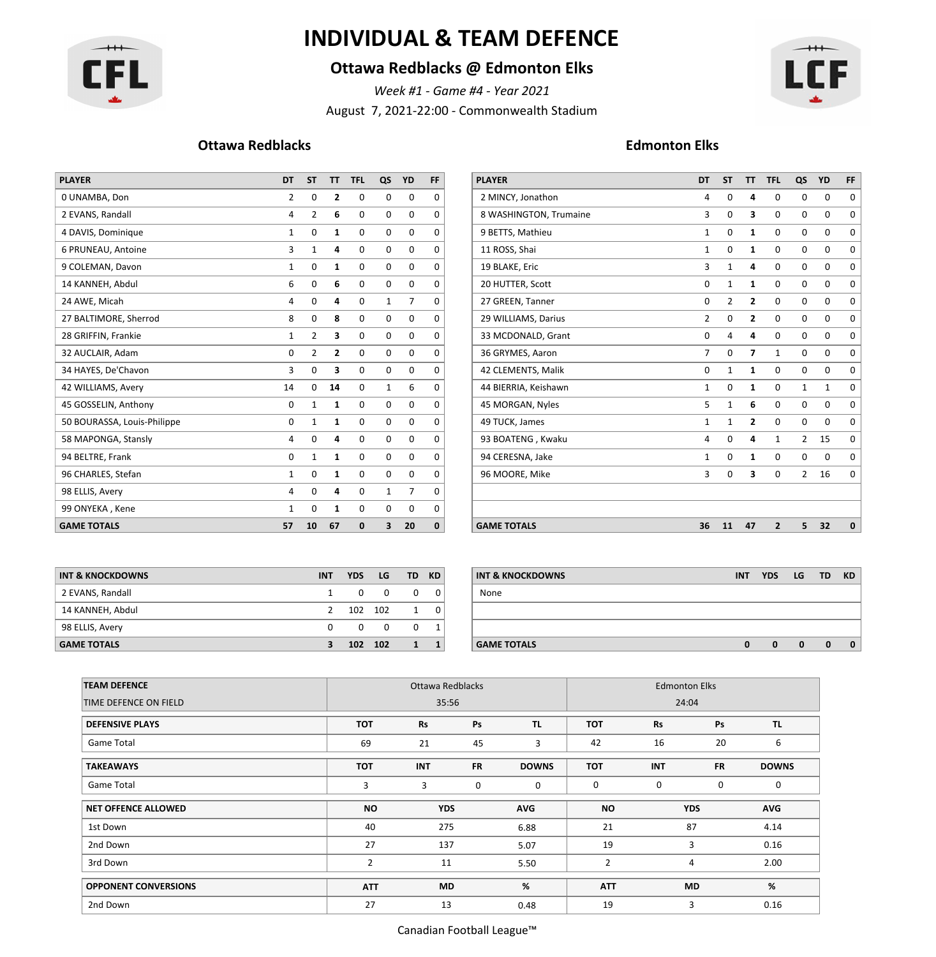

# **INDIVIDUAL & TEAM DEFENCE**

### **Ottawa Redblacks @ Edmonton Elks**

*Week #1 - Game #4 - Year 2021*

August 7, 2021-22:00 - Commonwealth Stadium



#### **Ottawa Redblacks Edmonton Elks**

| <b>PLAYER</b>               | DT             | <b>ST</b>      | <b>TT</b>    | <b>TFL</b>  | QS           | YD             | FF          |
|-----------------------------|----------------|----------------|--------------|-------------|--------------|----------------|-------------|
| 0 UNAMBA, Don               | $\overline{2}$ | 0              | 2            | 0           | 0            | $\Omega$       | 0           |
| 2 EVANS, Randall            | 4              | $\overline{2}$ | 6            | $\Omega$    | 0            | 0              | $\mathbf 0$ |
| 4 DAVIS, Dominique          | 1              | 0              | 1            | 0           | 0            | 0              | $\mathbf 0$ |
| 6 PRUNEAU, Antoine          | 3              | $\mathbf{1}$   | 4            | $\mathbf 0$ | $\mathbf 0$  | 0              | $\mathbf 0$ |
| 9 COLEMAN, Davon            | $\mathbf{1}$   | 0              | 1            | 0           | 0            | 0              | 0           |
| 14 KANNEH, Abdul            | 6              | 0              | 6            | $\mathbf 0$ | 0            | 0              | $\mathbf 0$ |
| 24 AWE, Micah               | 4              | 0              | 4            | $\mathbf 0$ | 1            | $\overline{7}$ | $\mathbf 0$ |
| 27 BALTIMORE, Sherrod       | 8              | 0              | 8            | $\mathbf 0$ | 0            | 0              | $\mathbf 0$ |
| 28 GRIFFIN, Frankie         | $\mathbf{1}$   | $\overline{2}$ | 3            | $\mathbf 0$ | $\mathbf 0$  | 0              | $\mathbf 0$ |
| 32 AUCLAIR, Adam            | 0              | 2              | 2            | 0           | 0            | 0              | 0           |
| 34 HAYES, De'Chavon         | 3              | 0              | 3            | $\Omega$    | $\mathbf 0$  | $\Omega$       | $\mathbf 0$ |
| 42 WILLIAMS, Avery          | 14             | 0              | 14           | 0           | 1            | 6              | $\mathbf 0$ |
| 45 GOSSELIN, Anthony        | $\mathbf 0$    | $\mathbf{1}$   | 1            | 0           | $\mathbf 0$  | 0              | 0           |
| 50 BOURASSA, Louis-Philippe | 0              | 1              | 1            | $\mathbf 0$ | 0            | 0              | $\mathbf 0$ |
| 58 MAPONGA, Stansly         | 4              | 0              | 4            | $\Omega$    | 0            | $\Omega$       | $\mathbf 0$ |
| 94 BELTRE, Frank            | 0              | $\mathbf{1}$   | $\mathbf{1}$ | $\mathbf 0$ | $\mathbf 0$  | 0              | $\mathbf 0$ |
| 96 CHARLES, Stefan          | $\mathbf{1}$   | 0              | $\mathbf{1}$ | $\mathbf 0$ | 0            | 0              | $\mathbf 0$ |
| 98 ELLIS, Avery             | 4              | 0              | 4            | 0           | $\mathbf{1}$ | $\overline{7}$ | 0           |
| 99 ONYEKA, Kene             | 1              | 0              | 1            | 0           | 0            | $\Omega$       | 0           |
| <b>GAME TOTALS</b>          | 57             | 10             | 67           | 0           | 3            | 20             | $\mathbf 0$ |

| <b>PLAYER</b>               | <b>DT</b>   | <b>ST</b>   | TT TFL |              | QS          | YD             | FF. | <b>PLAYER</b>          | <b>DT</b>    | <b>ST</b>   |                         | TT TFL         | QS           | YD          | FF          |
|-----------------------------|-------------|-------------|--------|--------------|-------------|----------------|-----|------------------------|--------------|-------------|-------------------------|----------------|--------------|-------------|-------------|
| 0 UNAMBA, Don               | 2           | 0           | 2      | 0            | $\mathbf 0$ | $\mathbf 0$    | 0   | 2 MINCY, Jonathon      | 4            | $\Omega$    | 4                       | 0              | 0            | $\mathbf 0$ | 0           |
| 2 EVANS, Randall            | 4           | 2           | 6      | 0            | 0           | 0              | 0   | 8 WASHINGTON, Trumaine | 3            | $\Omega$    | з                       | 0              | 0            | $\mathbf 0$ | 0           |
| 4 DAVIS, Dominique          | 1           | 0           | 1      | 0            | 0           | $\mathbf 0$    | 0   | 9 BETTS, Mathieu       | $\mathbf{1}$ | 0           | 1                       | 0              | 0            | $\mathbf 0$ | 0           |
| 6 PRUNEAU, Antoine          | 3           | 1           | 4      | $\mathbf 0$  | 0           | $\mathbf 0$    | 0   | 11 ROSS, Shai          | $\mathbf{1}$ | 0           | 1                       | 0              | 0            | $\mathbf 0$ | $\mathbf 0$ |
| 9 COLEMAN, Davon            | 1           | 0           | 1      | $\mathbf{0}$ | 0           | 0              | 0   | 19 BLAKE, Eric         | 3            | 1           | 4                       | $\mathbf 0$    | 0            | $\mathbf 0$ | 0           |
| 14 KANNEH, Abdul            | 6           | 0           | 6      | $\mathbf{0}$ | 0           | 0              | 0   | 20 HUTTER, Scott       | 0            |             | 1                       | $\mathbf 0$    | 0            | $\mathbf 0$ | $^{\circ}$  |
| 24 AWE, Micah               | 4           | 0           | 4      | 0            | 1           | $\overline{7}$ | 0   | 27 GREEN, Tanner       | 0            | 2           | 2                       | 0              | 0            | 0           | 0           |
| 27 BALTIMORE, Sherrod       | 8           | $\mathbf 0$ | 8      | $\mathbf{0}$ | 0           | $\mathbf 0$    | 0   | 29 WILLIAMS, Darius    | 2            | 0           | $\overline{\mathbf{2}}$ | 0              | 0            | $\mathbf 0$ | 0           |
| 28 GRIFFIN, Frankie         | 1           | 2           | 3      | 0            | 0           | $\mathbf 0$    | 0   | 33 MCDONALD, Grant     | 0            |             | 4                       | $\Omega$       | 0            | $\mathbf 0$ | $^{\circ}$  |
| 32 AUCLAIR, Adam            | 0           | 2           | 2      | 0            | $\mathbf 0$ | 0              | 0   | 36 GRYMES, Aaron       | 7            | 0           | 7                       | 1              | 0            | 0           | 0           |
| 34 HAYES, De'Chavon         | 3           | 0           | 3      | 0            | 0           | 0              | 0   | 42 CLEMENTS, Malik     | 0            |             | 1                       | 0              | 0            | $\mathbf 0$ | $^{\circ}$  |
| 42 WILLIAMS, Avery          | 14          | 0           | 14     | 0            | 1           | 6              | 0   | 44 BIERRIA, Keishawn   | $\mathbf{1}$ | 0           | 1                       | $\mathbf 0$    | $\mathbf{1}$ | 1           | $\mathbf 0$ |
| 45 GOSSELIN, Anthony        | $\mathbf 0$ | 1           | 1      | 0            | 0           | 0              | 0   | 45 MORGAN, Nyles       | 5            |             | 6                       | 0              | 0            | $\mathbf 0$ | $^{\circ}$  |
| 50 BOURASSA, Louis-Philippe | $\mathbf 0$ | 1           | 1      | 0            | $\mathbf 0$ | $\mathbf 0$    | 0   | 49 TUCK, James         | 1            | 1           | $\overline{\mathbf{2}}$ | $\mathbf 0$    | 0            | $\mathbf 0$ | $\mathbf 0$ |
| 58 MAPONGA, Stansly         | 4           | 0           | 4      | 0            | 0           | 0              | 0   | 93 BOATENG, Kwaku      | 4            | $\mathbf 0$ | 4                       | 1              | 2            | 15          | 0           |
| 94 BELTRE, Frank            | 0           | 1           | 1      | 0            | 0           | $\mathbf 0$    | 0   | 94 CERESNA, Jake       | 1            | 0           | 1                       | 0              | 0            | $\mathbf 0$ | 0           |
| 96 CHARLES, Stefan          | 1           | 0           | 1      | $\mathbf 0$  | 0           | 0              | 0   | 96 MOORE, Mike         | 3            | $\mathbf 0$ | з                       | $\mathbf 0$    |              | 2, 16       | $^{\circ}$  |
| 98 ELLIS, Avery             | 4           | 0           | 4      | 0            | 1           | $\overline{7}$ | 0   |                        |              |             |                         |                |              |             |             |
| 99 ONYEKA, Kene             | 1           | 0           | 1      | 0            | 0           | 0              | 0   |                        |              |             |                         |                |              |             |             |
| <b>GAME TOTALS</b>          | 57          | 10          | 67     | $\mathbf{0}$ | 3           | 20             | 0   | <b>GAME TOTALS</b>     | 36           | 11          | 47                      | $\overline{2}$ | 5            | 32          | $\bf{0}$    |

| <b>INT &amp; KNOCKDOWNS</b> | <b>INT</b>    | <b>YDS</b> | LG       | TD.      | KD.      | INT <sub>&amp;</sub> |
|-----------------------------|---------------|------------|----------|----------|----------|----------------------|
| 2 EVANS, Randall            |               | $\Omega$   | $\Omega$ | $\Omega$ | $\Omega$ | None                 |
| 14 KANNEH, Abdul            | $\mathcal{L}$ |            | 102 102  | 1        | $\Omega$ |                      |
| 98 ELLIS, Avery             | <sup>0</sup>  | $\Omega$   | $\Omega$ | $\Omega$ |          |                      |
| <b>GAME TOTALS</b>          |               |            | 102 102  | 1        |          | <b>GAME</b>          |

| INT & KNOCKDOWNS   | <b>INT</b> | <b>YDS</b> | LG  |              | TD KD        | <b>INT &amp; KNOCKDOWNS</b> | <b>INT</b> | <b>YDS</b> | LG | <b>TD</b>   | <b>KD</b>    |
|--------------------|------------|------------|-----|--------------|--------------|-----------------------------|------------|------------|----|-------------|--------------|
| 2 EVANS, Randall   |            | 0          | 0   | $\mathbf{0}$ | $\Omega$     | None                        |            |            |    |             |              |
| 14 KANNEH, Abdul   |            | 102        | 102 |              | $\mathbf 0$  |                             |            |            |    |             |              |
| 98 ELLIS, Avery    |            |            | 0   | $\Omega$     |              |                             |            |            |    |             |              |
| <b>GAME TOTALS</b> |            | 102 102    |     | $\mathbf{1}$ | $\mathbf{1}$ | <b>GAME TOTALS</b>          |            | 0          | 0  | $\mathbf 0$ | $\mathbf{0}$ |

| <b>TEAM DEFENCE</b>         |                | Ottawa Redblacks |           |              | <b>Edmonton Elks</b> |            |             |              |  |  |  |
|-----------------------------|----------------|------------------|-----------|--------------|----------------------|------------|-------------|--------------|--|--|--|
| TIME DEFENCE ON FIELD       |                | 35:56            |           |              |                      | 24:04      |             |              |  |  |  |
| <b>DEFENSIVE PLAYS</b>      | TOT            | <b>Rs</b>        | Ps        | TL.          | <b>TOT</b>           | <b>Rs</b>  | Ps          | TL.          |  |  |  |
| Game Total                  | 69             | 21               | 45        | 3            | 42                   | 16         | 20          | 6            |  |  |  |
| <b>TAKEAWAYS</b>            | <b>TOT</b>     | <b>INT</b>       | <b>FR</b> | <b>DOWNS</b> | <b>TOT</b>           | <b>INT</b> | <b>FR</b>   | <b>DOWNS</b> |  |  |  |
| Game Total                  | 3              | 3                | 0         | $\mathbf 0$  | 0                    | 0          | $\mathbf 0$ | 0            |  |  |  |
| <b>NET OFFENCE ALLOWED</b>  | <b>NO</b>      | <b>YDS</b>       |           | <b>AVG</b>   | NO.                  | <b>YDS</b> |             | AVG          |  |  |  |
| 1st Down                    | 40             | 275              |           | 6.88         | 21                   | 87         |             | 4.14         |  |  |  |
| 2nd Down                    | 27             | 137              |           | 5.07         | 19                   | 3          |             | 0.16         |  |  |  |
| 3rd Down                    | $\overline{2}$ | 11               |           | 5.50         | 2                    | 4          |             | 2.00         |  |  |  |
| <b>OPPONENT CONVERSIONS</b> | <b>ATT</b>     | <b>MD</b>        |           | %            | <b>ATT</b>           | <b>MD</b>  |             | %            |  |  |  |
| 2nd Down                    | 27             | 13               |           | 0.48         | 19                   | 3          |             | 0.16         |  |  |  |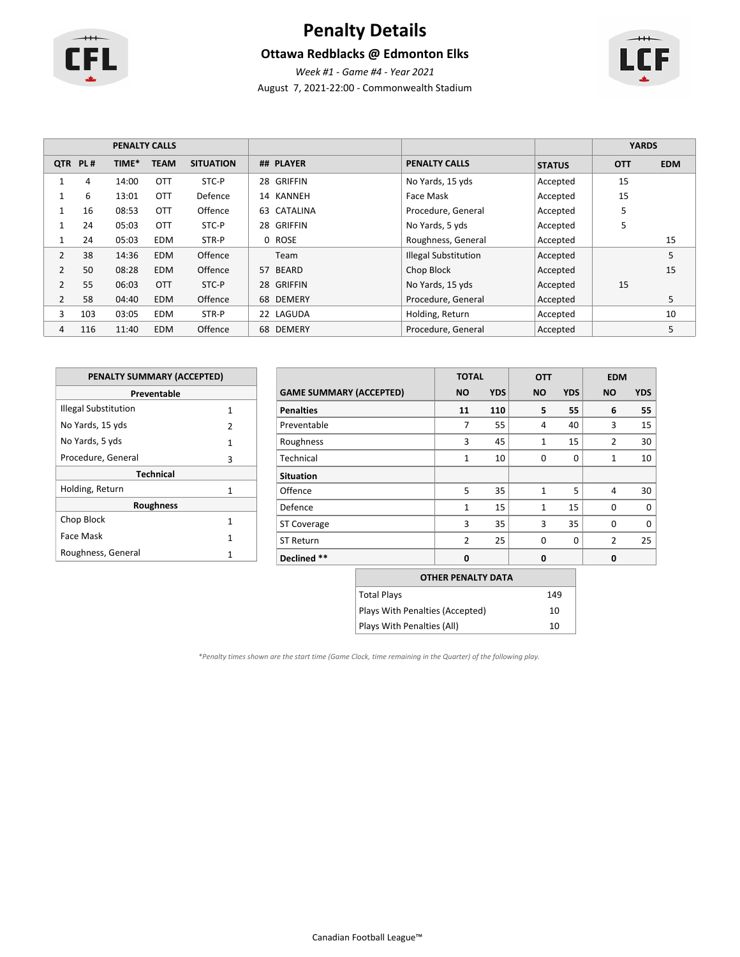

# **Penalty Details**

### **Ottawa Redblacks @ Edmonton Elks**



August 7, 2021-22:00 - Commonwealth Stadium

|                |         |       | <b>PENALTY CALLS</b> |                  |                      |                             |               | <b>YARDS</b> |            |
|----------------|---------|-------|----------------------|------------------|----------------------|-----------------------------|---------------|--------------|------------|
|                | QTR PL# | TIME* | <b>TEAM</b>          | <b>SITUATION</b> | ## PLAYER            | <b>PENALTY CALLS</b>        | <b>STATUS</b> | <b>OTT</b>   | <b>EDM</b> |
|                | 4       | 14:00 | <b>OTT</b>           | STC-P            | GRIFFIN<br>28        | No Yards, 15 yds            | Accepted      | 15           |            |
|                | 6       | 13:01 | <b>OTT</b>           | Defence          | KANNEH<br>14         | Face Mask                   | Accepted      | 15           |            |
|                | 16      | 08:53 | <b>OTT</b>           | Offence          | CATALINA<br>63       | Procedure, General          | Accepted      | 5            |            |
|                | 24      | 05:03 | <b>OTT</b>           | STC-P            | <b>GRIFFIN</b><br>28 | No Yards, 5 yds             | Accepted      | 5            |            |
|                | 24      | 05:03 | <b>EDM</b>           | STR-P            | 0 ROSE               | Roughness, General          | Accepted      |              | 15         |
| 2              | 38      | 14:36 | <b>EDM</b>           | Offence          | Team                 | <b>Illegal Substitution</b> | Accepted      |              | 5          |
| 2              | 50      | 08:28 | <b>EDM</b>           | Offence          | BEARD<br>57          | Chop Block                  | Accepted      |              | 15         |
| $\overline{2}$ | 55      | 06:03 | <b>OTT</b>           | STC-P            | <b>GRIFFIN</b><br>28 | No Yards, 15 yds            | Accepted      | 15           |            |
| $\overline{2}$ | 58      | 04:40 | <b>EDM</b>           | Offence          | 68 DEMERY            | Procedure, General          | Accepted      |              | 5          |
| 3              | 103     | 03:05 | <b>EDM</b>           | STR-P            | LAGUDA<br>22         | Holding, Return             | Accepted      |              | 10         |
| 4              | 116     | 11:40 | <b>EDM</b>           | Offence          | 68 DEMERY            | Procedure, General          | Accepted      |              | 5          |

| PENALTY SUMMARY (ACCEPTED) |   |
|----------------------------|---|
| Preventable                |   |
| Illegal Substitution       | 1 |
| No Yards, 15 yds           | 2 |
| No Yards, 5 yds            | 1 |
| Procedure, General         | 3 |
| <b>Technical</b>           |   |
| Holding, Return            | 1 |
| <b>Roughness</b>           |   |
| Chop Block                 | 1 |
| Face Mask                  | 1 |
| Roughness, General         |   |

|                                | <b>TOTAL</b>   |            | <b>OTT</b>     |            | <b>EDM</b>     |            |
|--------------------------------|----------------|------------|----------------|------------|----------------|------------|
| <b>GAME SUMMARY (ACCEPTED)</b> | <b>NO</b>      | <b>YDS</b> | <b>NO</b>      | <b>YDS</b> | <b>NO</b>      | <b>YDS</b> |
| <b>Penalties</b>               | 11             | 110        | 5              | 55         | 6              | 55         |
| Preventable                    | 7              | 55         | $\overline{4}$ | 40         | 3              | 15         |
| Roughness                      | 3              | 45         | 1              | 15         | 2              | 30         |
| Technical                      | $\mathbf{1}$   | 10         | $\Omega$       | $\Omega$   | $\mathbf{1}$   | 10         |
| <b>Situation</b>               |                |            |                |            |                |            |
| Offence                        | 5              | 35         | $\mathbf{1}$   | 5          | 4              | 30         |
| Defence                        | $\mathbf{1}$   | 15         | $\mathbf{1}$   | 15         | $\Omega$       | $\Omega$   |
| <b>ST Coverage</b>             | 3              | 35         | 3              | 35         | $\Omega$       | $\Omega$   |
| <b>ST Return</b>               | $\overline{2}$ | 25         | $\Omega$       | $\Omega$   | $\overline{2}$ | 25         |
| Declined **                    | $\mathbf 0$    |            | 0              |            | 0              |            |

| <b>OTHER PENALTY DATA</b>       |     |
|---------------------------------|-----|
| Total Plays                     | 149 |
| Plays With Penalties (Accepted) | 10  |
| Plays With Penalties (All)      | 10  |

*\*Penalty times shown are the start time (Game Clock, time remaining in the Quarter) of the following play.*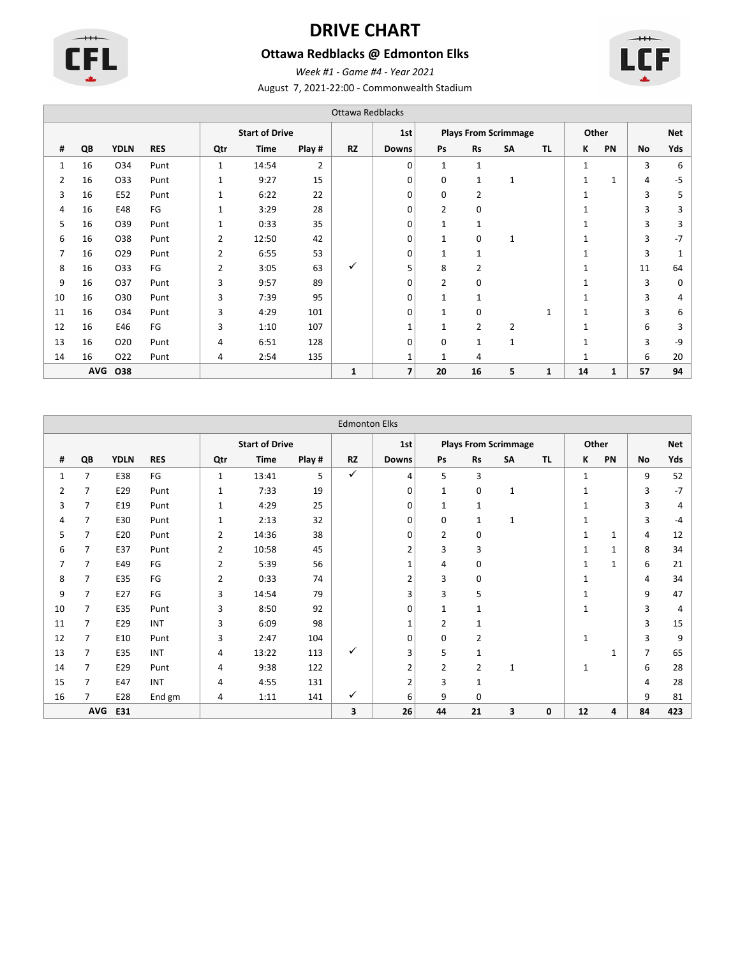

# **DRIVE CHART**

### **Ottawa Redblacks @ Edmonton Elks**



August 7, 2021-22:00 - Commonwealth Stadium *Week #1 - Game #4 - Year 2021*

|                | Ottawa Redblacks |                 |            |                |                       |                |              |                          |              |                |                             |              |              |       |    |            |
|----------------|------------------|-----------------|------------|----------------|-----------------------|----------------|--------------|--------------------------|--------------|----------------|-----------------------------|--------------|--------------|-------|----|------------|
|                |                  |                 |            |                | <b>Start of Drive</b> |                |              | 1st                      |              |                | <b>Plays From Scrimmage</b> |              |              | Other |    | <b>Net</b> |
| #              | QB               | <b>YDLN</b>     | <b>RES</b> | Qtr            | <b>Time</b>           | Play #         | <b>RZ</b>    | <b>Downs</b>             | Ps           | Rs             | <b>SA</b>                   | <b>TL</b>    | К            | PN    | No | Yds        |
| 1              | 16               | 034             | Punt       | $\mathbf{1}$   | 14:54                 | $\overline{2}$ |              | 0                        | $\mathbf{1}$ | $\mathbf{1}$   |                             |              | $\mathbf{1}$ |       | 3  | 6          |
| $\overline{2}$ | 16               | 033             | Punt       | $\mathbf{1}$   | 9:27                  | 15             |              | 0                        | $\mathbf 0$  | $\mathbf{1}$   | $\mathbf{1}$                |              | $\mathbf{1}$ | 1     | 4  | $-5$       |
| 3              | 16               | E52             | Punt       | 1              | 6:22                  | 22             |              | 0                        | $\mathbf 0$  | $\overline{2}$ |                             |              | $\mathbf{1}$ |       | 3  | 5          |
| 4              | 16               | E48             | FG         | 1              | 3:29                  | 28             |              | 0                        | 2            | $\mathbf 0$    |                             |              |              |       | 3  | 3          |
| 5              | 16               | O39             | Punt       | 1              | 0:33                  | 35             |              | 0                        | $\mathbf{1}$ | 1              |                             |              | 1            |       | 3  | 3          |
| 6              | 16               | 038             | Punt       | $\overline{2}$ | 12:50                 | 42             |              | $\mathbf 0$              | $\mathbf{1}$ | $\mathbf 0$    | 1                           |              |              |       | 3  | $-7$       |
| 7              | 16               | 029             | Punt       | 2              | 6:55                  | 53             |              | 0                        | $\mathbf{1}$ | $\mathbf{1}$   |                             |              |              |       | 3  | 1          |
| 8              | 16               | 033             | FG         | 2              | 3:05                  | 63             | ✓            | 5                        | 8            | $\overline{2}$ |                             |              | $\mathbf{1}$ |       | 11 | 64         |
| 9              | 16               | 037             | Punt       | 3              | 9:57                  | 89             |              | 0                        | 2            | 0              |                             |              | $\mathbf{1}$ |       | 3  | 0          |
| 10             | 16               | 030             | Punt       | 3              | 7:39                  | 95             |              | 0                        | $\mathbf{1}$ | 1              |                             |              | $\mathbf{1}$ |       | 3  | 4          |
| 11             | 16               | 034             | Punt       | 3              | 4:29                  | 101            |              | 0                        | $\mathbf{1}$ | 0              |                             | $\mathbf{1}$ | $\mathbf{1}$ |       | 3  | 6          |
| 12             | 16               | E46             | FG         | 3              | 1:10                  | 107            |              | 1                        | $\mathbf{1}$ | $\overline{2}$ | 2                           |              | 1            |       | 6  | 3          |
| 13             | 16               | 020             | Punt       | 4              | 6:51                  | 128            |              | 0                        | $\mathbf 0$  | $\mathbf{1}$   | $\mathbf{1}$                |              | 1            |       | 3  | -9         |
| 14             | 16               | O <sub>22</sub> | Punt       | 4              | 2:54                  | 135            |              | $\mathbf{1}$             | $\mathbf{1}$ | 4              |                             |              | 1            |       | 6  | 20         |
|                | <b>AVG</b>       | O38             |            |                |                       |                | $\mathbf{1}$ | $\overline{\phantom{a}}$ | 20           | 16             | 5                           | $\mathbf{1}$ | 14           | 1     | 57 | 94         |

| <b>Edmonton Elks</b> |            |             |            |                |                       |        |           |              |                |                |                             |           |              |              |           |            |
|----------------------|------------|-------------|------------|----------------|-----------------------|--------|-----------|--------------|----------------|----------------|-----------------------------|-----------|--------------|--------------|-----------|------------|
|                      |            |             |            |                | <b>Start of Drive</b> |        |           | 1st          |                |                | <b>Plays From Scrimmage</b> |           | Other        |              |           | <b>Net</b> |
| #                    | QB         | <b>YDLN</b> | <b>RES</b> | Qtr            | <b>Time</b>           | Play # | <b>RZ</b> | <b>Downs</b> | Ps             | <b>Rs</b>      | SA                          | <b>TL</b> | ĸ            | PN           | <b>No</b> | Yds        |
| 1                    | 7          | E38         | FG         | $\mathbf{1}$   | 13:41                 | 5      | ✓         | 4            | 5              | 3              |                             |           | $\mathbf{1}$ |              | 9         | 52         |
| 2                    | 7          | E29         | Punt       | 1              | 7:33                  | 19     |           | 0            | $\mathbf{1}$   | $\mathbf 0$    | $\mathbf{1}$                |           | 1            |              | 3         | -7         |
| 3                    | 7          | E19         | Punt       | 1              | 4:29                  | 25     |           | 0            | $\mathbf{1}$   | 1              |                             |           | 1            |              | 3         | 4          |
| 4                    | 7          | E30         | Punt       | 1              | 2:13                  | 32     |           | 0            | 0              | 1              | 1                           |           | $\mathbf{1}$ |              | 3         | -4         |
| 5                    | 7          | E20         | Punt       | 2              | 14:36                 | 38     |           | 0            | $\overline{2}$ | $\mathbf 0$    |                             |           | $\mathbf{1}$ | $\mathbf{1}$ | 4         | 12         |
| 6                    | 7          | E37         | Punt       | 2              | 10:58                 | 45     |           | 2            | 3              | 3              |                             |           | $\mathbf{1}$ | $\mathbf{1}$ | 8         | 34         |
| 7                    | 7          | E49         | FG         | $\overline{2}$ | 5:39                  | 56     |           | 1            | 4              | $\mathbf 0$    |                             |           | 1            | $\mathbf{1}$ | 6         | 21         |
| 8                    | 7          | E35         | FG         | 2              | 0:33                  | 74     |           | 2            | 3              | 0              |                             |           | 1            |              | 4         | 34         |
| 9                    | 7          | E27         | FG         | 3              | 14:54                 | 79     |           | 3            | 3              | 5              |                             |           | 1            |              | 9         | 47         |
| 10                   |            | E35         | Punt       | 3              | 8:50                  | 92     |           | 0            | 1              | $\mathbf{1}$   |                             |           | 1            |              | 3         | 4          |
| 11                   | 7          | E29         | <b>INT</b> | 3              | 6:09                  | 98     |           | 1            | $\overline{2}$ | 1              |                             |           |              |              | 3         | 15         |
| 12                   | 7          | E10         | Punt       | 3              | 2:47                  | 104    |           | 0            | 0              | 2              |                             |           | $\mathbf{1}$ |              | 3         | q          |
| 13                   | 7          | E35         | <b>INT</b> | 4              | 13:22                 | 113    | ✓         | 3            | 5              | 1              |                             |           |              | $\mathbf{1}$ | 7         | 65         |
| 14                   | 7          | E29         | Punt       | 4              | 9:38                  | 122    |           | 2            | $\overline{2}$ | $\overline{2}$ | 1                           |           | $\mathbf{1}$ |              | 6         | 28         |
| 15                   | 7          | E47         | <b>INT</b> | $\overline{4}$ | 4:55                  | 131    |           | 2            | 3              | $\mathbf{1}$   |                             |           |              |              | 4         | 28         |
| 16                   | 7          | E28         | End gm     | 4              | 1:11                  | 141    | ✓         | 6            | 9              | $\mathbf 0$    |                             |           |              |              | 9         | 81         |
|                      | <b>AVG</b> | E31         |            |                |                       |        | 3         | 26           | 44             | 21             | 3                           | 0         | 12           | 4            | 84        | 423        |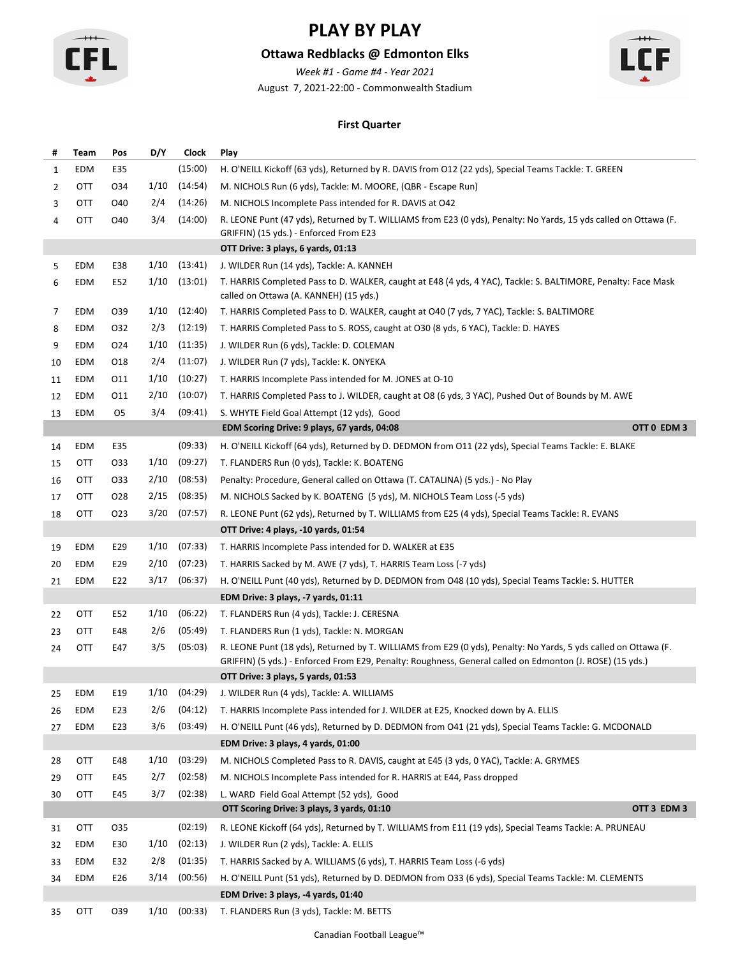

### **Ottawa Redblacks @ Edmonton Elks**

*Week #1 - Game #4 - Year 2021*

August 7, 2021-22:00 - Commonwealth Stadium



#### **First Quarter**

| #  | Team | Pos | D/Y  | Clock   | Play                                                                                                                                                                                                                         |  |
|----|------|-----|------|---------|------------------------------------------------------------------------------------------------------------------------------------------------------------------------------------------------------------------------------|--|
| 1  | EDM  | E35 |      | (15:00) | H. O'NEILL Kickoff (63 yds), Returned by R. DAVIS from O12 (22 yds), Special Teams Tackle: T. GREEN                                                                                                                          |  |
| 2  | OTT  | 034 | 1/10 | (14:54) | M. NICHOLS Run (6 yds), Tackle: M. MOORE, (QBR - Escape Run)                                                                                                                                                                 |  |
| 3  | OTT  | O40 | 2/4  | (14:26) | M. NICHOLS Incomplete Pass intended for R. DAVIS at O42                                                                                                                                                                      |  |
| 4  | OTT  | O40 | 3/4  | (14:00) | R. LEONE Punt (47 yds), Returned by T. WILLIAMS from E23 (0 yds), Penalty: No Yards, 15 yds called on Ottawa (F.<br>GRIFFIN) (15 yds.) - Enforced From E23                                                                   |  |
|    |      |     |      |         | OTT Drive: 3 plays, 6 yards, 01:13                                                                                                                                                                                           |  |
| 5  | EDM  | E38 | 1/10 | (13:41) | J. WILDER Run (14 yds), Tackle: A. KANNEH                                                                                                                                                                                    |  |
| 6  | EDM  | E52 | 1/10 | (13:01) | T. HARRIS Completed Pass to D. WALKER, caught at E48 (4 yds, 4 YAC), Tackle: S. BALTIMORE, Penalty: Face Mask<br>called on Ottawa (A. KANNEH) (15 yds.)                                                                      |  |
| 7  | EDM  | 039 | 1/10 | (12:40) | T. HARRIS Completed Pass to D. WALKER, caught at O40 (7 yds, 7 YAC), Tackle: S. BALTIMORE                                                                                                                                    |  |
| 8  | EDM  | 032 | 2/3  | (12:19) | T. HARRIS Completed Pass to S. ROSS, caught at O30 (8 yds, 6 YAC), Tackle: D. HAYES                                                                                                                                          |  |
| 9  | EDM  | 024 | 1/10 | (11:35) | J. WILDER Run (6 yds), Tackle: D. COLEMAN                                                                                                                                                                                    |  |
| 10 | EDM  | 018 | 2/4  | (11:07) | J. WILDER Run (7 yds), Tackle: K. ONYEKA                                                                                                                                                                                     |  |
| 11 | EDM  | 011 | 1/10 | (10:27) | T. HARRIS Incomplete Pass intended for M. JONES at O-10                                                                                                                                                                      |  |
| 12 | EDM  | 011 | 2/10 | (10:07) | T. HARRIS Completed Pass to J. WILDER, caught at O8 (6 yds, 3 YAC), Pushed Out of Bounds by M. AWE                                                                                                                           |  |
| 13 | EDM  | 05  | 3/4  | (09:41) | S. WHYTE Field Goal Attempt (12 yds), Good                                                                                                                                                                                   |  |
|    |      |     |      |         | OTT 0 EDM 3<br>EDM Scoring Drive: 9 plays, 67 yards, 04:08                                                                                                                                                                   |  |
| 14 | EDM  | E35 |      | (09:33) | H. O'NEILL Kickoff (64 yds), Returned by D. DEDMON from O11 (22 yds), Special Teams Tackle: E. BLAKE                                                                                                                         |  |
| 15 | OTT  | 033 | 1/10 | (09:27) | T. FLANDERS Run (0 yds), Tackle: K. BOATENG                                                                                                                                                                                  |  |
| 16 | OTT  | 033 | 2/10 | (08:53) | Penalty: Procedure, General called on Ottawa (T. CATALINA) (5 yds.) - No Play                                                                                                                                                |  |
| 17 | OTT  | 028 | 2/15 | (08:35) | M. NICHOLS Sacked by K. BOATENG (5 yds), M. NICHOLS Team Loss (-5 yds)                                                                                                                                                       |  |
| 18 | OTT  | 023 | 3/20 | (07:57) | R. LEONE Punt (62 yds), Returned by T. WILLIAMS from E25 (4 yds), Special Teams Tackle: R. EVANS                                                                                                                             |  |
|    |      |     |      |         | OTT Drive: 4 plays, -10 yards, 01:54                                                                                                                                                                                         |  |
| 19 | EDM  | E29 | 1/10 | (07:33) | T. HARRIS Incomplete Pass intended for D. WALKER at E35                                                                                                                                                                      |  |
| 20 | EDM  | E29 | 2/10 | (07:23) | T. HARRIS Sacked by M. AWE (7 yds), T. HARRIS Team Loss (-7 yds)                                                                                                                                                             |  |
| 21 | EDM  | E22 | 3/17 | (06:37) | H. O'NEILL Punt (40 yds), Returned by D. DEDMON from O48 (10 yds), Special Teams Tackle: S. HUTTER                                                                                                                           |  |
|    |      |     |      |         | EDM Drive: 3 plays, -7 yards, 01:11                                                                                                                                                                                          |  |
| 22 | OTT  | E52 | 1/10 | (06:22) | T. FLANDERS Run (4 yds), Tackle: J. CERESNA                                                                                                                                                                                  |  |
| 23 | OTT  | E48 | 2/6  | (05:49) | T. FLANDERS Run (1 yds), Tackle: N. MORGAN                                                                                                                                                                                   |  |
| 24 | OTT  | E47 | 3/5  | (05:03) | R. LEONE Punt (18 yds), Returned by T. WILLIAMS from E29 (0 yds), Penalty: No Yards, 5 yds called on Ottawa (F.<br>GRIFFIN) (5 yds.) - Enforced From E29, Penalty: Roughness, General called on Edmonton (J. ROSE) (15 yds.) |  |
|    |      |     |      |         | OTT Drive: 3 plays, 5 yards, 01:53                                                                                                                                                                                           |  |
| 25 | EDM  | E19 | 1/10 | (04:29) | J. WILDER Run (4 yds), Tackle: A. WILLIAMS                                                                                                                                                                                   |  |
| 26 | EDM  | E23 | 2/6  | (04:12) | T. HARRIS Incomplete Pass intended for J. WILDER at E25, Knocked down by A. ELLIS                                                                                                                                            |  |
| 27 | EDM  | E23 | 3/6  | (03:49) | H. O'NEILL Punt (46 yds), Returned by D. DEDMON from O41 (21 yds), Special Teams Tackle: G. MCDONALD                                                                                                                         |  |
|    |      |     |      |         | EDM Drive: 3 plays, 4 yards, 01:00                                                                                                                                                                                           |  |
| 28 | OTT  | E48 | 1/10 | (03:29) | M. NICHOLS Completed Pass to R. DAVIS, caught at E45 (3 yds, 0 YAC), Tackle: A. GRYMES                                                                                                                                       |  |
| 29 | OTT  | E45 | 2/7  | (02:58) | M. NICHOLS Incomplete Pass intended for R. HARRIS at E44, Pass dropped                                                                                                                                                       |  |
| 30 | OTT  | E45 | 3/7  | (02:38) | L. WARD Field Goal Attempt (52 yds), Good                                                                                                                                                                                    |  |
|    |      |     |      |         | OTT 3 EDM 3<br>OTT Scoring Drive: 3 plays, 3 yards, 01:10                                                                                                                                                                    |  |
| 31 | OTT  | 035 |      | (02:19) | R. LEONE Kickoff (64 yds), Returned by T. WILLIAMS from E11 (19 yds), Special Teams Tackle: A. PRUNEAU                                                                                                                       |  |
| 32 | EDM  | E30 | 1/10 | (02:13) | J. WILDER Run (2 yds), Tackle: A. ELLIS                                                                                                                                                                                      |  |
| 33 | EDM  | E32 | 2/8  | (01:35) | T. HARRIS Sacked by A. WILLIAMS (6 yds), T. HARRIS Team Loss (-6 yds)                                                                                                                                                        |  |
| 34 | EDM  | E26 | 3/14 | (00:56) | H. O'NEILL Punt (51 yds), Returned by D. DEDMON from O33 (6 yds), Special Teams Tackle: M. CLEMENTS                                                                                                                          |  |
|    |      |     |      |         | EDM Drive: 3 plays, -4 yards, 01:40                                                                                                                                                                                          |  |
| 35 | OTT  | O39 | 1/10 | (00:33) | T. FLANDERS Run (3 yds), Tackle: M. BETTS                                                                                                                                                                                    |  |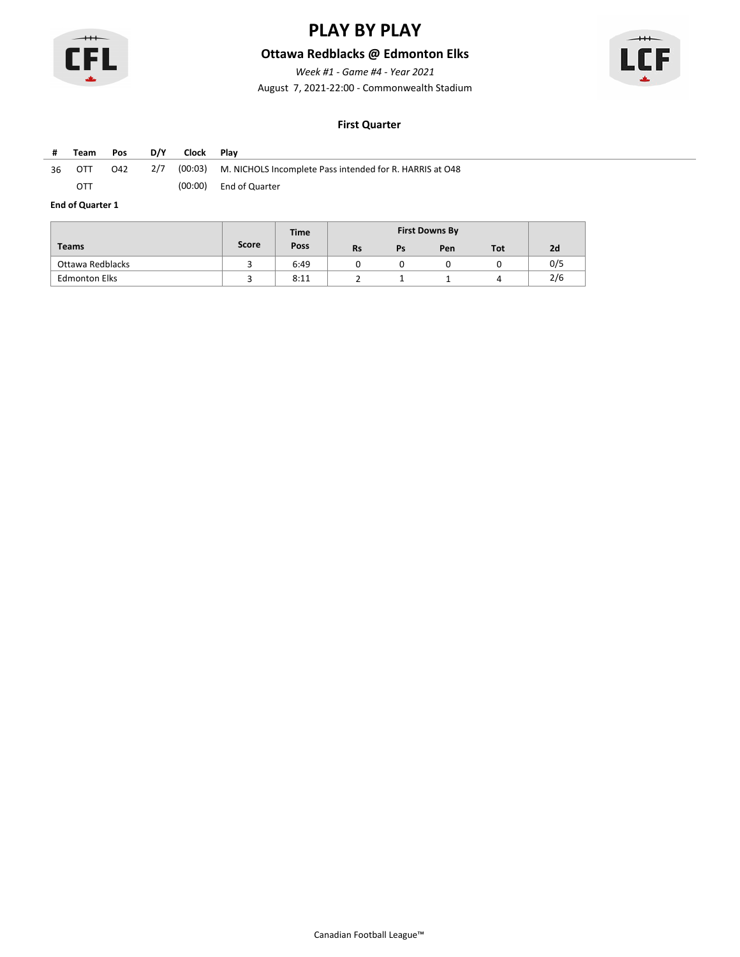

### **Ottawa Redblacks @ Edmonton Elks**

*Week #1 - Game #4 - Year 2021*

August 7, 2021-22:00 - Commonwealth Stadium



#### **First Quarter**

| #  | Team | Pos | D/Y | Clock Plav |                                                                      |
|----|------|-----|-----|------------|----------------------------------------------------------------------|
| 36 | OTT  | O42 |     |            | 2/7 (00:03) M. NICHOLS Incomplete Pass intended for R. HARRIS at O48 |
|    | OTT  |     |     |            | (00:00) End of Quarter                                               |

|                      |       | <b>Time</b> |           |    | <b>First Downs By</b> |     |     |
|----------------------|-------|-------------|-----------|----|-----------------------|-----|-----|
| <b>Teams</b>         | Score | Poss        | <b>Rs</b> | Ps | Pen                   | Tot | 2d  |
| Ottawa Redblacks     |       | 6:49        |           |    |                       |     | 0/5 |
| <b>Edmonton Elks</b> |       | 8:11        |           |    |                       |     | 2/6 |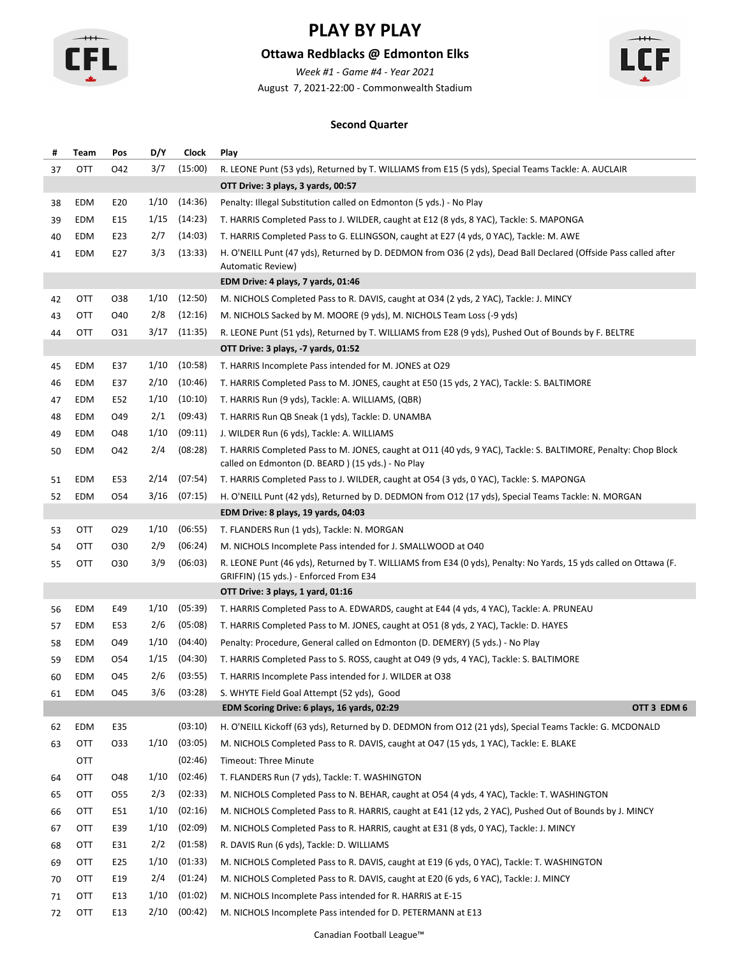

### **Ottawa Redblacks @ Edmonton Elks**

*Week #1 - Game #4 - Year 2021*

August 7, 2021-22:00 - Commonwealth Stadium



#### **Second Quarter**

| #  | Team | Pos             | D/Y  | Clock   | Play                                                                                                                                                                |  |  |  |  |  |
|----|------|-----------------|------|---------|---------------------------------------------------------------------------------------------------------------------------------------------------------------------|--|--|--|--|--|
| 37 | OTT  | 042             | 3/7  | (15:00) | R. LEONE Punt (53 yds), Returned by T. WILLIAMS from E15 (5 yds), Special Teams Tackle: A. AUCLAIR                                                                  |  |  |  |  |  |
|    |      |                 |      |         | OTT Drive: 3 plays, 3 yards, 00:57                                                                                                                                  |  |  |  |  |  |
| 38 | EDM  | E20             | 1/10 | (14:36) | Penalty: Illegal Substitution called on Edmonton (5 yds.) - No Play                                                                                                 |  |  |  |  |  |
| 39 | EDM  | E15             | 1/15 | (14:23) | T. HARRIS Completed Pass to J. WILDER, caught at E12 (8 yds, 8 YAC), Tackle: S. MAPONGA                                                                             |  |  |  |  |  |
| 40 | EDM  | E23             | 2/7  | (14:03) | T. HARRIS Completed Pass to G. ELLINGSON, caught at E27 (4 yds, 0 YAC), Tackle: M. AWE                                                                              |  |  |  |  |  |
| 41 | EDM  | E27             | 3/3  | (13:33) | H. O'NEILL Punt (47 yds), Returned by D. DEDMON from O36 (2 yds), Dead Ball Declared (Offside Pass called after                                                     |  |  |  |  |  |
|    |      |                 |      |         | Automatic Review)                                                                                                                                                   |  |  |  |  |  |
|    |      |                 |      |         | EDM Drive: 4 plays, 7 yards, 01:46                                                                                                                                  |  |  |  |  |  |
| 42 | OTT  | 038             | 1/10 | (12:50) | M. NICHOLS Completed Pass to R. DAVIS, caught at O34 (2 yds, 2 YAC), Tackle: J. MINCY                                                                               |  |  |  |  |  |
| 43 | OTT  | O40             | 2/8  | (12:16) | M. NICHOLS Sacked by M. MOORE (9 yds), M. NICHOLS Team Loss (-9 yds)                                                                                                |  |  |  |  |  |
| 44 | OTT  | 031             | 3/17 | (11:35) | R. LEONE Punt (51 yds), Returned by T. WILLIAMS from E28 (9 yds), Pushed Out of Bounds by F. BELTRE                                                                 |  |  |  |  |  |
|    |      |                 |      |         | OTT Drive: 3 plays, -7 yards, 01:52                                                                                                                                 |  |  |  |  |  |
| 45 | EDM  | E37             | 1/10 | (10:58) | T. HARRIS Incomplete Pass intended for M. JONES at O29                                                                                                              |  |  |  |  |  |
| 46 | EDM  | E37             | 2/10 | (10:46) | T. HARRIS Completed Pass to M. JONES, caught at E50 (15 yds, 2 YAC), Tackle: S. BALTIMORE                                                                           |  |  |  |  |  |
| 47 | EDM  | E52             | 1/10 | (10:10) | T. HARRIS Run (9 yds), Tackle: A. WILLIAMS, (QBR)                                                                                                                   |  |  |  |  |  |
| 48 | EDM  | O49             | 2/1  | (09:43) | T. HARRIS Run QB Sneak (1 yds), Tackle: D. UNAMBA                                                                                                                   |  |  |  |  |  |
| 49 | EDM  | O48             | 1/10 | (09:11) | J. WILDER Run (6 yds), Tackle: A. WILLIAMS                                                                                                                          |  |  |  |  |  |
| 50 | EDM  | 042             | 2/4  | (08:28) | T. HARRIS Completed Pass to M. JONES, caught at O11 (40 yds, 9 YAC), Tackle: S. BALTIMORE, Penalty: Chop Block<br>called on Edmonton (D. BEARD) (15 yds.) - No Play |  |  |  |  |  |
| 51 | EDM  | E53             | 2/14 | (07:54) | T. HARRIS Completed Pass to J. WILDER, caught at O54 (3 yds, 0 YAC), Tackle: S. MAPONGA                                                                             |  |  |  |  |  |
| 52 | EDM  | 054             | 3/16 | (07:15) | H. O'NEILL Punt (42 yds), Returned by D. DEDMON from O12 (17 yds), Special Teams Tackle: N. MORGAN                                                                  |  |  |  |  |  |
|    |      |                 |      |         | EDM Drive: 8 plays, 19 yards, 04:03                                                                                                                                 |  |  |  |  |  |
| 53 | OTT  | O <sub>29</sub> | 1/10 | (06:55) | T. FLANDERS Run (1 yds), Tackle: N. MORGAN                                                                                                                          |  |  |  |  |  |
| 54 | OTT  | 030             | 2/9  | (06:24) | M. NICHOLS Incomplete Pass intended for J. SMALLWOOD at O40                                                                                                         |  |  |  |  |  |
| 55 | OTT  | O30             | 3/9  | (06:03) | R. LEONE Punt (46 yds), Returned by T. WILLIAMS from E34 (0 yds), Penalty: No Yards, 15 yds called on Ottawa (F.<br>GRIFFIN) (15 yds.) - Enforced From E34          |  |  |  |  |  |
|    |      |                 |      |         | OTT Drive: 3 plays, 1 yard, 01:16                                                                                                                                   |  |  |  |  |  |
| 56 | EDM  | E49             | 1/10 | (05:39) | T. HARRIS Completed Pass to A. EDWARDS, caught at E44 (4 yds, 4 YAC), Tackle: A. PRUNEAU                                                                            |  |  |  |  |  |
| 57 | EDM  | E53             | 2/6  | (05:08) | T. HARRIS Completed Pass to M. JONES, caught at O51 (8 yds, 2 YAC), Tackle: D. HAYES                                                                                |  |  |  |  |  |
| 58 | EDM  | O49             | 1/10 | (04:40) | Penalty: Procedure, General called on Edmonton (D. DEMERY) (5 yds.) - No Play                                                                                       |  |  |  |  |  |
| 59 | EDM  | 054             | 1/15 | (04:30) | T. HARRIS Completed Pass to S. ROSS, caught at O49 (9 yds, 4 YAC), Tackle: S. BALTIMORE                                                                             |  |  |  |  |  |
| 60 | EDM  | 045             | 2/6  | (03:55) | T. HARRIS Incomplete Pass intended for J. WILDER at O38                                                                                                             |  |  |  |  |  |
| 61 | EDM  | 045             | 3/6  | (03:28) | S. WHYTE Field Goal Attempt (52 yds), Good                                                                                                                          |  |  |  |  |  |
|    |      |                 |      |         | EDM Scoring Drive: 6 plays, 16 yards, 02:29<br>OTT 3 EDM 6                                                                                                          |  |  |  |  |  |
| 62 | EDM  | E35             |      | (03:10) | H. O'NEILL Kickoff (63 yds), Returned by D. DEDMON from O12 (21 yds), Special Teams Tackle: G. MCDONALD                                                             |  |  |  |  |  |
| 63 | OTT  | 033             | 1/10 | (03:05) | M. NICHOLS Completed Pass to R. DAVIS, caught at O47 (15 yds, 1 YAC), Tackle: E. BLAKE                                                                              |  |  |  |  |  |
|    | OTT  |                 |      | (02:46) | Timeout: Three Minute                                                                                                                                               |  |  |  |  |  |
| 64 | OTT  | O48             | 1/10 | (02:46) | T. FLANDERS Run (7 yds), Tackle: T. WASHINGTON                                                                                                                      |  |  |  |  |  |
| 65 | OTT  | 055             | 2/3  | (02:33) | M. NICHOLS Completed Pass to N. BEHAR, caught at O54 (4 yds, 4 YAC), Tackle: T. WASHINGTON                                                                          |  |  |  |  |  |
| 66 | OTT  | E51             | 1/10 | (02:16) | M. NICHOLS Completed Pass to R. HARRIS, caught at E41 (12 yds, 2 YAC), Pushed Out of Bounds by J. MINCY                                                             |  |  |  |  |  |
| 67 | OTT  | E39             | 1/10 | (02:09) | M. NICHOLS Completed Pass to R. HARRIS, caught at E31 (8 yds, 0 YAC), Tackle: J. MINCY                                                                              |  |  |  |  |  |
| 68 | OTT  | E31             | 2/2  | (01:58) | R. DAVIS Run (6 yds), Tackle: D. WILLIAMS                                                                                                                           |  |  |  |  |  |
| 69 | OTT  | E25             | 1/10 | (01:33) | M. NICHOLS Completed Pass to R. DAVIS, caught at E19 (6 yds, 0 YAC), Tackle: T. WASHINGTON                                                                          |  |  |  |  |  |
| 70 | OTT  | E19             | 2/4  | (01:24) | M. NICHOLS Completed Pass to R. DAVIS, caught at E20 (6 yds, 6 YAC), Tackle: J. MINCY                                                                               |  |  |  |  |  |
| 71 | OTT  | E13             | 1/10 | (01:02) | M. NICHOLS Incomplete Pass intended for R. HARRIS at E-15                                                                                                           |  |  |  |  |  |
| 72 | OTT  | E13             | 2/10 | (00:42) | M. NICHOLS Incomplete Pass intended for D. PETERMANN at E13                                                                                                         |  |  |  |  |  |
|    |      |                 |      |         |                                                                                                                                                                     |  |  |  |  |  |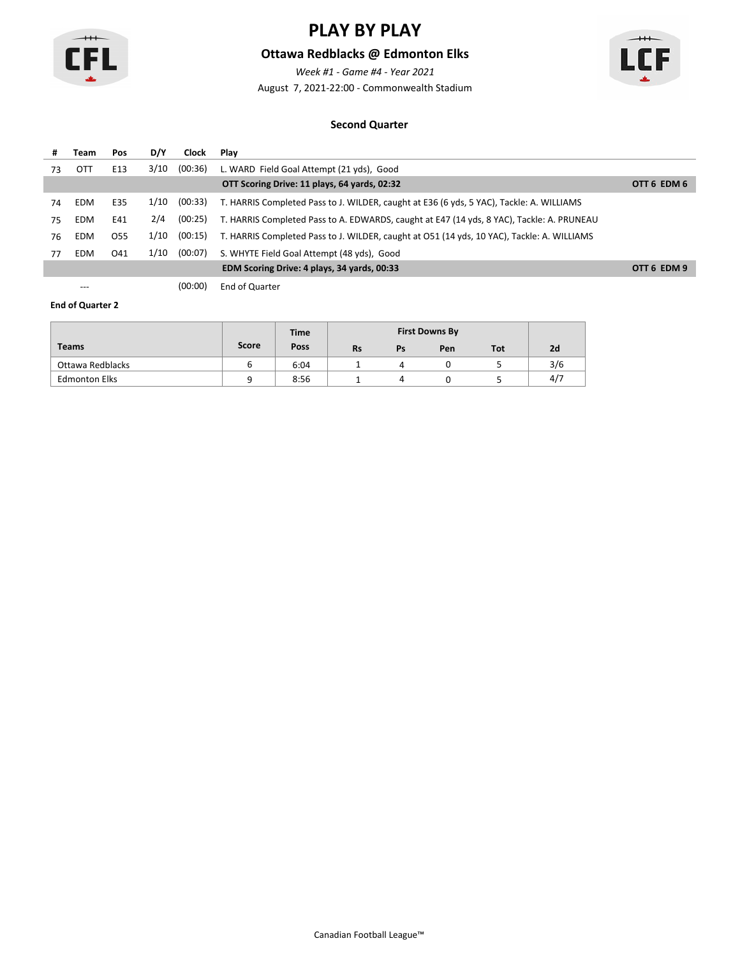

### **Ottawa Redblacks @ Edmonton Elks**

*Week #1 - Game #4 - Year 2021*

August 7, 2021-22:00 - Commonwealth Stadium



#### **Second Quarter**

| #  | Team       | Pos             | D/Y  | Clock   | Plav                                                                                       |             |
|----|------------|-----------------|------|---------|--------------------------------------------------------------------------------------------|-------------|
| 73 | OTT        | E13             | 3/10 | (00:36) | L. WARD Field Goal Attempt (21 yds), Good                                                  |             |
|    |            |                 |      |         | OTT Scoring Drive: 11 plays, 64 yards, 02:32                                               | OTT 6 EDM 6 |
| 74 | EDM        | E35             | 1/10 | (00:33) | T. HARRIS Completed Pass to J. WILDER, caught at E36 (6 yds, 5 YAC), Tackle: A. WILLIAMS   |             |
| 75 | <b>EDM</b> | E41             | 2/4  | (00:25) | T. HARRIS Completed Pass to A. EDWARDS, caught at E47 (14 yds, 8 YAC), Tackle: A. PRUNEAU  |             |
| 76 | <b>EDM</b> | O <sub>55</sub> | 1/10 | (00:15) | T. HARRIS Completed Pass to J. WILDER, caught at O51 (14 yds, 10 YAC), Tackle: A. WILLIAMS |             |
| 77 | <b>EDM</b> | 041             | 1/10 | (00:07) | S. WHYTE Field Goal Attempt (48 yds), Good                                                 |             |
|    |            |                 |      |         | EDM Scoring Drive: 4 plays, 34 yards, 00:33                                                | OTT 6 EDM 9 |

--- (00:00) End of Quarter

|                      |       | <b>Time</b> |           |    | <b>First Downs By</b> |     |     |
|----------------------|-------|-------------|-----------|----|-----------------------|-----|-----|
| <b>Teams</b>         | Score | Poss        | <b>Rs</b> | Ps | Pen                   | Tot | 2d  |
| Ottawa Redblacks     |       | 6:04        |           |    |                       |     | 3/6 |
| <b>Edmonton Elks</b> |       | 8:56        |           |    |                       |     | 4/7 |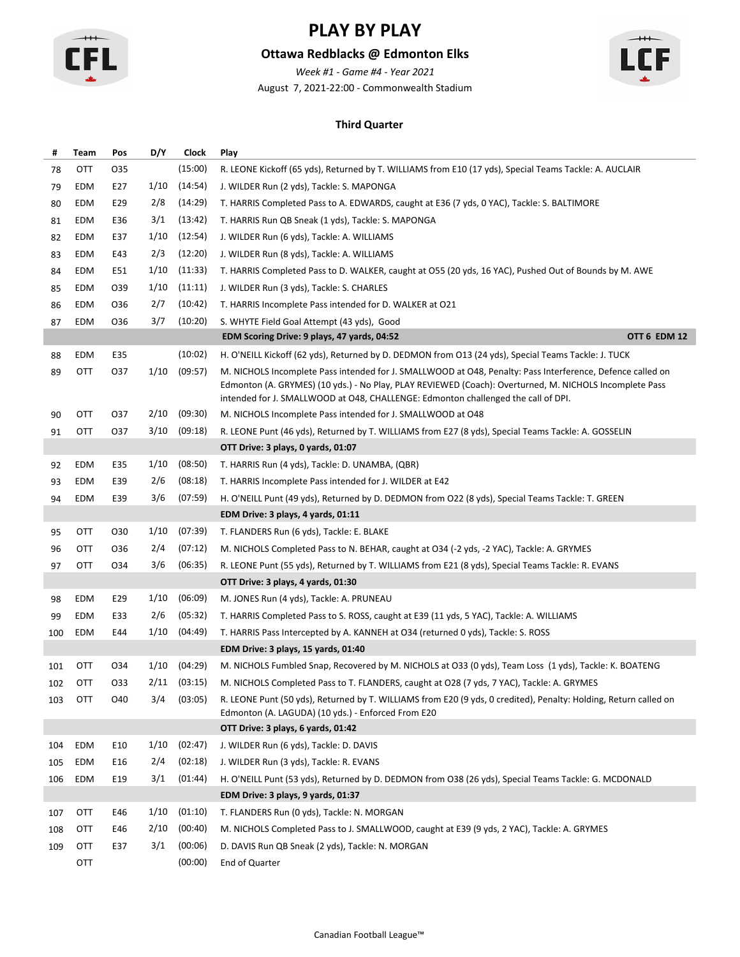

### **Ottawa Redblacks @ Edmonton Elks**

*Week #1 - Game #4 - Year 2021*

August 7, 2021-22:00 - Commonwealth Stadium



#### **Third Quarter**

| #   | Team | Pos | D/Y  | Clock   | Play                                                                                                                                                                                                                                                                                                       |
|-----|------|-----|------|---------|------------------------------------------------------------------------------------------------------------------------------------------------------------------------------------------------------------------------------------------------------------------------------------------------------------|
| 78  | OTT  | 035 |      | (15:00) | R. LEONE Kickoff (65 yds), Returned by T. WILLIAMS from E10 (17 yds), Special Teams Tackle: A. AUCLAIR                                                                                                                                                                                                     |
| 79  | EDM  | E27 | 1/10 | (14:54) | J. WILDER Run (2 yds), Tackle: S. MAPONGA                                                                                                                                                                                                                                                                  |
| 80  | EDM  | E29 | 2/8  | (14:29) | T. HARRIS Completed Pass to A. EDWARDS, caught at E36 (7 yds, 0 YAC), Tackle: S. BALTIMORE                                                                                                                                                                                                                 |
| 81  | EDM  | E36 | 3/1  | (13:42) | T. HARRIS Run QB Sneak (1 yds), Tackle: S. MAPONGA                                                                                                                                                                                                                                                         |
| 82  | EDM  | E37 | 1/10 | (12:54) | J. WILDER Run (6 yds), Tackle: A. WILLIAMS                                                                                                                                                                                                                                                                 |
| 83  | EDM  | E43 | 2/3  | (12:20) | J. WILDER Run (8 yds), Tackle: A. WILLIAMS                                                                                                                                                                                                                                                                 |
| 84  | EDM  | E51 | 1/10 | (11:33) | T. HARRIS Completed Pass to D. WALKER, caught at O55 (20 yds, 16 YAC), Pushed Out of Bounds by M. AWE                                                                                                                                                                                                      |
| 85  | EDM  | 039 | 1/10 | (11:11) | J. WILDER Run (3 yds), Tackle: S. CHARLES                                                                                                                                                                                                                                                                  |
| 86  | EDM  | 036 | 2/7  | (10:42) | T. HARRIS Incomplete Pass intended for D. WALKER at O21                                                                                                                                                                                                                                                    |
| 87  | EDM  | 036 | 3/7  | (10:20) | S. WHYTE Field Goal Attempt (43 yds), Good                                                                                                                                                                                                                                                                 |
|     |      |     |      |         | EDM Scoring Drive: 9 plays, 47 yards, 04:52<br>OTT 6 EDM 12                                                                                                                                                                                                                                                |
| 88  | EDM  | E35 |      | (10:02) | H. O'NEILL Kickoff (62 yds), Returned by D. DEDMON from O13 (24 yds), Special Teams Tackle: J. TUCK                                                                                                                                                                                                        |
| 89  | OTT  | 037 | 1/10 | (09:57) | M. NICHOLS Incomplete Pass intended for J. SMALLWOOD at O48, Penalty: Pass Interference, Defence called on<br>Edmonton (A. GRYMES) (10 yds.) - No Play, PLAY REVIEWED (Coach): Overturned, M. NICHOLS Incomplete Pass<br>intended for J. SMALLWOOD at O48, CHALLENGE: Edmonton challenged the call of DPI. |
| 90  | OTT  | 037 | 2/10 | (09:30) | M. NICHOLS Incomplete Pass intended for J. SMALLWOOD at O48                                                                                                                                                                                                                                                |
| 91  | OTT  | 037 | 3/10 | (09:18) | R. LEONE Punt (46 yds), Returned by T. WILLIAMS from E27 (8 yds), Special Teams Tackle: A. GOSSELIN                                                                                                                                                                                                        |
|     |      |     |      |         | OTT Drive: 3 plays, 0 yards, 01:07                                                                                                                                                                                                                                                                         |
| 92  | EDM  | E35 | 1/10 | (08:50) | T. HARRIS Run (4 yds), Tackle: D. UNAMBA, (QBR)                                                                                                                                                                                                                                                            |
| 93  | EDM  | E39 | 2/6  | (08:18) | T. HARRIS Incomplete Pass intended for J. WILDER at E42                                                                                                                                                                                                                                                    |
| 94  | EDM  | E39 | 3/6  | (07:59) | H. O'NEILL Punt (49 yds), Returned by D. DEDMON from O22 (8 yds), Special Teams Tackle: T. GREEN                                                                                                                                                                                                           |
|     |      |     |      |         | EDM Drive: 3 plays, 4 yards, 01:11                                                                                                                                                                                                                                                                         |
| 95  | OTT  | 030 | 1/10 | (07:39) | T. FLANDERS Run (6 yds), Tackle: E. BLAKE                                                                                                                                                                                                                                                                  |
| 96  | OTT  | 036 | 2/4  | (07:12) | M. NICHOLS Completed Pass to N. BEHAR, caught at O34 (-2 yds, -2 YAC), Tackle: A. GRYMES                                                                                                                                                                                                                   |
| 97  | OTT  | 034 | 3/6  | (06:35) | R. LEONE Punt (55 yds), Returned by T. WILLIAMS from E21 (8 yds), Special Teams Tackle: R. EVANS                                                                                                                                                                                                           |
|     |      |     |      |         | OTT Drive: 3 plays, 4 yards, 01:30                                                                                                                                                                                                                                                                         |
| 98  | EDM  | E29 | 1/10 | (06:09) | M. JONES Run (4 yds), Tackle: A. PRUNEAU                                                                                                                                                                                                                                                                   |
| 99  | EDM  | E33 | 2/6  | (05:32) | T. HARRIS Completed Pass to S. ROSS, caught at E39 (11 yds, 5 YAC), Tackle: A. WILLIAMS                                                                                                                                                                                                                    |
| 100 | EDM  | E44 | 1/10 | (04:49) | T. HARRIS Pass Intercepted by A. KANNEH at O34 (returned 0 yds), Tackle: S. ROSS                                                                                                                                                                                                                           |
|     |      |     |      |         | EDM Drive: 3 plays, 15 yards, 01:40                                                                                                                                                                                                                                                                        |
| 101 | OTT  | 034 | 1/10 | (04:29) | M. NICHOLS Fumbled Snap, Recovered by M. NICHOLS at O33 (0 yds), Team Loss (1 yds), Tackle: K. BOATENG                                                                                                                                                                                                     |
| 102 | OTT  | 033 | 2/11 | (03:15) | M. NICHOLS Completed Pass to T. FLANDERS, caught at O28 (7 yds, 7 YAC), Tackle: A. GRYMES                                                                                                                                                                                                                  |
| 103 | OTT  | O40 | 3/4  | (03:05) | R. LEONE Punt (50 yds), Returned by T. WILLIAMS from E20 (9 yds, 0 credited), Penalty: Holding, Return called on<br>Edmonton (A. LAGUDA) (10 yds.) - Enforced From E20                                                                                                                                     |
|     |      |     |      |         | OTT Drive: 3 plays, 6 yards, 01:42                                                                                                                                                                                                                                                                         |
| 104 | EDM  | E10 | 1/10 | (02:47) | J. WILDER Run (6 yds), Tackle: D. DAVIS                                                                                                                                                                                                                                                                    |
| 105 | EDM  | E16 | 2/4  | (02:18) | J. WILDER Run (3 yds), Tackle: R. EVANS                                                                                                                                                                                                                                                                    |
| 106 | EDM  | E19 | 3/1  | (01:44) | H. O'NEILL Punt (53 yds), Returned by D. DEDMON from O38 (26 yds), Special Teams Tackle: G. MCDONALD                                                                                                                                                                                                       |
|     |      |     |      |         | EDM Drive: 3 plays, 9 yards, 01:37                                                                                                                                                                                                                                                                         |
| 107 | OTT  | E46 | 1/10 | (01:10) | T. FLANDERS Run (0 yds), Tackle: N. MORGAN                                                                                                                                                                                                                                                                 |
| 108 | OTT  | E46 | 2/10 | (00:40) | M. NICHOLS Completed Pass to J. SMALLWOOD, caught at E39 (9 yds, 2 YAC), Tackle: A. GRYMES                                                                                                                                                                                                                 |
| 109 | OTT  | E37 | 3/1  | (00:06) | D. DAVIS Run QB Sneak (2 yds), Tackle: N. MORGAN                                                                                                                                                                                                                                                           |
|     | OTT  |     |      | (00:00) | End of Quarter                                                                                                                                                                                                                                                                                             |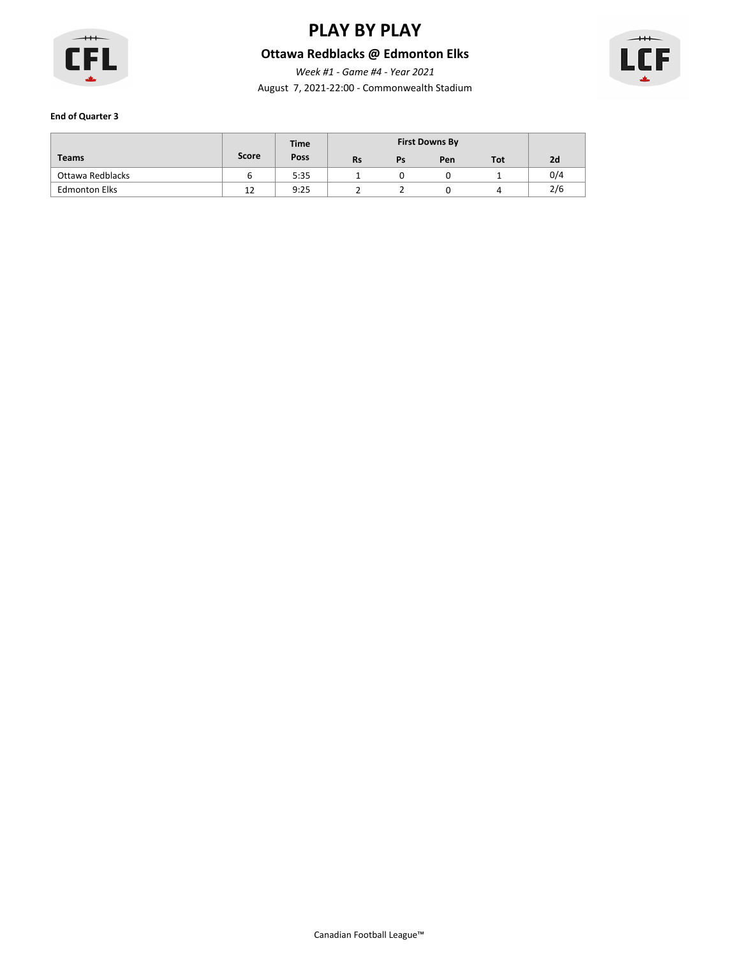

### **Ottawa Redblacks @ Edmonton Elks**

August 7, 2021-22:00 - Commonwealth Stadium *Week #1 - Game #4 - Year 2021*



|                      |       | <b>Time</b> |           |    | <b>First Downs By</b> |            |     |
|----------------------|-------|-------------|-----------|----|-----------------------|------------|-----|
| <b>Teams</b>         | Score | Poss        | <b>Rs</b> | Ps | Pen                   | <b>Tot</b> | 2d  |
| Ottawa Redblacks     |       | 5:35        |           |    |                       |            | 0/4 |
| <b>Edmonton Elks</b> | 12    | 9:25        |           |    |                       |            | 2/6 |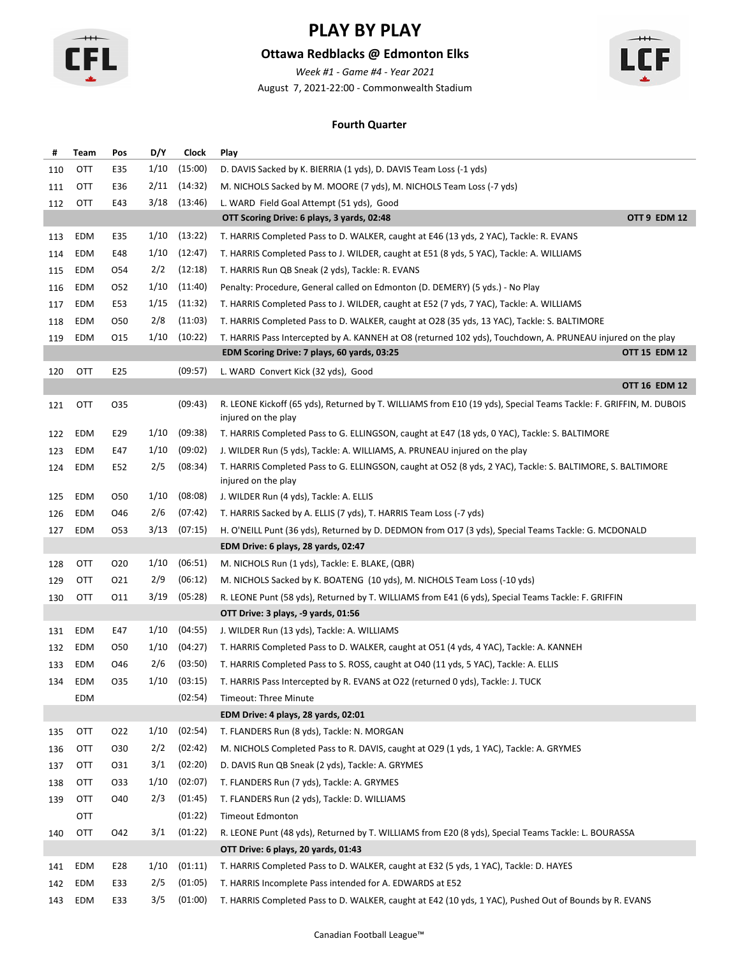

### **Ottawa Redblacks @ Edmonton Elks**

*Week #1 - Game #4 - Year 2021*

August 7, 2021-22:00 - Commonwealth Stadium



#### **Fourth Quarter**

| #   | Team       | Pos             | D/Y  | <b>Clock</b> | Play                                                                                                                                     |
|-----|------------|-----------------|------|--------------|------------------------------------------------------------------------------------------------------------------------------------------|
| 110 | OTT        | E35             | 1/10 | (15:00)      | D. DAVIS Sacked by K. BIERRIA (1 yds), D. DAVIS Team Loss (-1 yds)                                                                       |
| 111 | OTT        | E36             | 2/11 | (14:32)      | M. NICHOLS Sacked by M. MOORE (7 yds), M. NICHOLS Team Loss (-7 yds)                                                                     |
| 112 | OTT        | E43             | 3/18 | (13:46)      | L. WARD Field Goal Attempt (51 yds), Good                                                                                                |
|     |            |                 |      |              | OTT 9 EDM 12<br>OTT Scoring Drive: 6 plays, 3 yards, 02:48                                                                               |
| 113 | EDM        | E35             | 1/10 | (13:22)      | T. HARRIS Completed Pass to D. WALKER, caught at E46 (13 yds, 2 YAC), Tackle: R. EVANS                                                   |
| 114 | EDM        | E48             | 1/10 | (12:47)      | T. HARRIS Completed Pass to J. WILDER, caught at E51 (8 yds, 5 YAC), Tackle: A. WILLIAMS                                                 |
| 115 | EDM        | 054             | 2/2  | (12:18)      | T. HARRIS Run QB Sneak (2 yds), Tackle: R. EVANS                                                                                         |
| 116 | EDM        | 052             | 1/10 | (11:40)      | Penalty: Procedure, General called on Edmonton (D. DEMERY) (5 yds.) - No Play                                                            |
| 117 | EDM        | E53             | 1/15 | (11:32)      | T. HARRIS Completed Pass to J. WILDER, caught at E52 (7 yds, 7 YAC), Tackle: A. WILLIAMS                                                 |
| 118 | EDM        | 050             | 2/8  | (11:03)      | T. HARRIS Completed Pass to D. WALKER, caught at O28 (35 yds, 13 YAC), Tackle: S. BALTIMORE                                              |
| 119 | EDM        | 015             | 1/10 | (10:22)      | T. HARRIS Pass Intercepted by A. KANNEH at O8 (returned 102 yds), Touchdown, A. PRUNEAU injured on the play                              |
|     |            |                 |      |              | <b>OTT 15 EDM 12</b><br>EDM Scoring Drive: 7 plays, 60 yards, 03:25                                                                      |
| 120 | <b>OTT</b> | E25             |      | (09:57)      | L. WARD Convert Kick (32 yds), Good                                                                                                      |
|     |            |                 |      |              | <b>OTT 16 EDM 12</b>                                                                                                                     |
| 121 | OTT        | 035             |      | (09:43)      | R. LEONE Kickoff (65 yds), Returned by T. WILLIAMS from E10 (19 yds), Special Teams Tackle: F. GRIFFIN, M. DUBOIS<br>injured on the play |
| 122 | EDM        | E29             | 1/10 | (09:38)      | T. HARRIS Completed Pass to G. ELLINGSON, caught at E47 (18 yds, 0 YAC), Tackle: S. BALTIMORE                                            |
| 123 | EDM        | E47             | 1/10 | (09:02)      | J. WILDER Run (5 yds), Tackle: A. WILLIAMS, A. PRUNEAU injured on the play                                                               |
| 124 | EDM        | E52             | 2/5  | (08:34)      | T. HARRIS Completed Pass to G. ELLINGSON, caught at O52 (8 yds, 2 YAC), Tackle: S. BALTIMORE, S. BALTIMORE<br>injured on the play        |
| 125 | EDM        | 050             | 1/10 | (08:08)      | J. WILDER Run (4 yds), Tackle: A. ELLIS                                                                                                  |
| 126 | EDM        | O46             | 2/6  | (07:42)      | T. HARRIS Sacked by A. ELLIS (7 yds), T. HARRIS Team Loss (-7 yds)                                                                       |
| 127 | EDM        | 053             | 3/13 | (07:15)      | H. O'NEILL Punt (36 yds), Returned by D. DEDMON from O17 (3 yds), Special Teams Tackle: G. MCDONALD                                      |
|     |            |                 |      |              | EDM Drive: 6 plays, 28 yards, 02:47                                                                                                      |
| 128 | OTT        | O <sub>20</sub> | 1/10 | (06:51)      | M. NICHOLS Run (1 yds), Tackle: E. BLAKE, (QBR)                                                                                          |
| 129 | OTT        | 021             | 2/9  | (06:12)      | M. NICHOLS Sacked by K. BOATENG (10 yds), M. NICHOLS Team Loss (-10 yds)                                                                 |
| 130 | <b>OTT</b> | 011             | 3/19 | (05:28)      | R. LEONE Punt (58 yds), Returned by T. WILLIAMS from E41 (6 yds), Special Teams Tackle: F. GRIFFIN                                       |
|     |            |                 |      |              | OTT Drive: 3 plays, -9 yards, 01:56                                                                                                      |
| 131 | EDM        | E47             | 1/10 | (04:55)      | J. WILDER Run (13 yds), Tackle: A. WILLIAMS                                                                                              |
| 132 | EDM        | 050             | 1/10 | (04:27)      | T. HARRIS Completed Pass to D. WALKER, caught at O51 (4 yds, 4 YAC), Tackle: A. KANNEH                                                   |
| 133 | EDM        | O46             | 2/6  | (03:50)      | T. HARRIS Completed Pass to S. ROSS, caught at O40 (11 yds, 5 YAC), Tackle: A. ELLIS                                                     |
| 134 | EDM        | 035             | 1/10 | (03:15)      | T. HARRIS Pass Intercepted by R. EVANS at O22 (returned 0 yds), Tackle: J. TUCK                                                          |
|     | EDM        |                 |      | (02:54)      | Timeout: Three Minute                                                                                                                    |
|     |            |                 |      |              | EDM Drive: 4 plays, 28 yards, 02:01                                                                                                      |
| 135 | OTT        | 022             | 1/10 | (02:54)      | T. FLANDERS Run (8 yds), Tackle: N. MORGAN                                                                                               |
| 136 | OTT        | 030             | 2/2  | (02:42)      | M. NICHOLS Completed Pass to R. DAVIS, caught at O29 (1 yds, 1 YAC), Tackle: A. GRYMES                                                   |
| 137 | OTT        | 031             | 3/1  | (02:20)      | D. DAVIS Run QB Sneak (2 yds), Tackle: A. GRYMES                                                                                         |
| 138 | OTT        | 033             | 1/10 | (02:07)      | T. FLANDERS Run (7 yds), Tackle: A. GRYMES                                                                                               |
| 139 | OTT        | O40             | 2/3  | (01:45)      | T. FLANDERS Run (2 yds), Tackle: D. WILLIAMS                                                                                             |
|     | OTT        |                 |      | (01:22)      | <b>Timeout Edmonton</b>                                                                                                                  |
| 140 | OTT        | O42             | 3/1  | (01:22)      | R. LEONE Punt (48 yds), Returned by T. WILLIAMS from E20 (8 yds), Special Teams Tackle: L. BOURASSA                                      |
|     |            |                 |      |              | OTT Drive: 6 plays, 20 yards, 01:43                                                                                                      |
| 141 | EDM        | E28             | 1/10 | (01:11)      | T. HARRIS Completed Pass to D. WALKER, caught at E32 (5 yds, 1 YAC), Tackle: D. HAYES                                                    |
| 142 | EDM        | E33             | 2/5  | (01:05)      | T. HARRIS Incomplete Pass intended for A. EDWARDS at E52                                                                                 |
|     | 143 EDM    | E33             | 3/5  | (01:00)      | T. HARRIS Completed Pass to D. WALKER, caught at E42 (10 yds, 1 YAC), Pushed Out of Bounds by R. EVANS                                   |